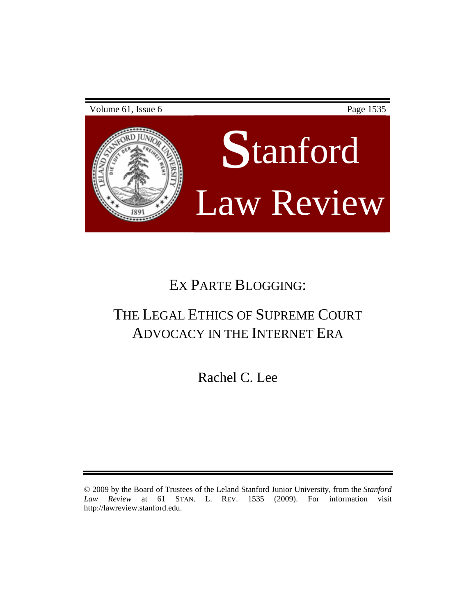

# EX PARTE BLOGGING:

# THE LEGAL ETHICS OF SUPREME COURT ADVOCACY IN THE INTERNET ERA

Rachel C. Lee

<sup>© 2009</sup> by the Board of Trustees of the Leland Stanford Junior University, from the *Stanford Law Review* at 61 STAN. L. REV. 1535 (2009). For information visit [http://lawreview.stanford.edu.](http://lawreview.stanford.edu/)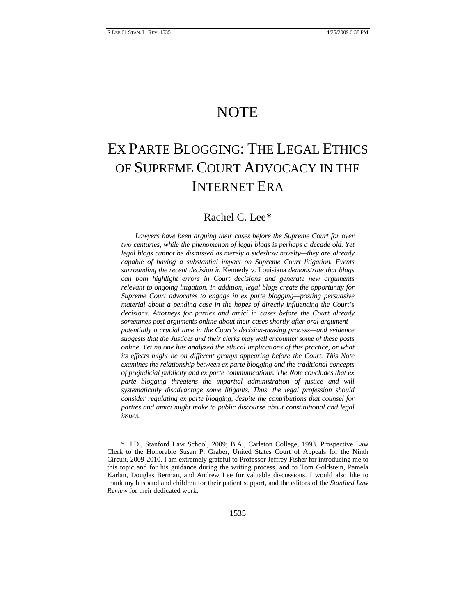### **NOTE**

## EX PARTE BLOGGING: THE LEGAL ETHICS OF SUPREME COURT ADVOCACY IN THE INTERNET ERA

### Rachel C. Lee[\\*](#page-1-0)

*Lawyers have been arguing their cases before the Supreme Court for over two centuries, while the phenomenon of legal blogs is perhaps a decade old. Yet legal blogs cannot be dismissed as merely a sideshow novelty—they are already capable of having a substantial impact on Supreme Court litigation. Events surrounding the recent decision in* Kennedy v. Louisiana *demonstrate that blogs can both highlight errors in Court decisions and generate new arguments relevant to ongoing litigation. In addition, legal blogs create the opportunity for Supreme Court advocates to engage in ex parte blogging—posting persuasive material about a pending case in the hopes of directly influencing the Court's decisions. Attorneys for parties and amici in cases before the Court already sometimes post arguments online about their cases shortly after oral argument potentially a crucial time in the Court's decision-making process—and evidence suggests that the Justices and their clerks may well encounter some of these posts online. Yet no one has analyzed the ethical implications of this practice, or what its effects might be on different groups appearing before the Court. This Note examines the relationship between ex parte blogging and the traditional concepts of prejudicial publicity and ex parte communications. The Note concludes that ex parte blogging threatens the impartial administration of justice and will systematically disadvantage some litigants. Thus, the legal profession should consider regulating ex parte blogging, despite the contributions that counsel for parties and amici might make to public discourse about constitutional and legal issues.* 

<span id="page-1-0"></span><sup>\*</sup> J.D., Stanford Law School, 2009; B.A., Carleton College, 1993. Prospective Law Clerk to the Honorable Susan P. Graber, United States Court of Appeals for the Ninth Circuit, 2009-2010. I am extremely grateful to Professor Jeffrey Fisher for introducing me to this topic and for his guidance during the writing process, and to Tom Goldstein, Pamela Karlan, Douglas Berman, and Andrew Lee for valuable discussions. I would also like to thank my husband and children for their patient support, and the editors of the *Stanford Law Review* for their dedicated work.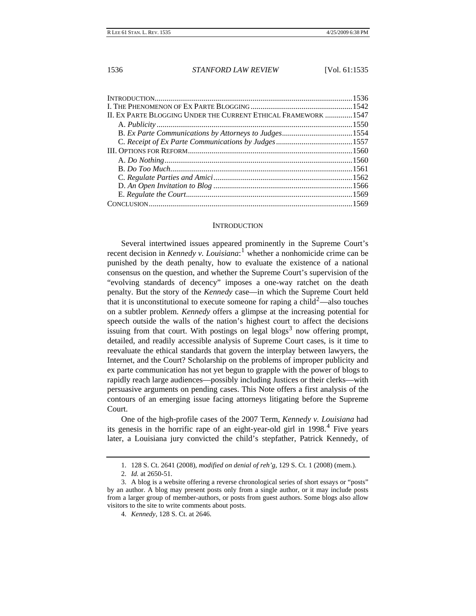<span id="page-2-0"></span>

| II. EX PARTE BLOGGING UNDER THE CURRENT ETHICAL FRAMEWORK  1547 |  |
|-----------------------------------------------------------------|--|
|                                                                 |  |
|                                                                 |  |
|                                                                 |  |
|                                                                 |  |
|                                                                 |  |
|                                                                 |  |
|                                                                 |  |
|                                                                 |  |
|                                                                 |  |
|                                                                 |  |

#### **INTRODUCTION**

Several intertwined issues appeared prominently in the Supreme Court's recent decision in *Kennedy v. Louisiana*:<sup>[1](#page-2-1)</sup> whether a nonhomicide crime can be punished by the death penalty, how to evaluate the existence of a national consensus on the question, and whether the Supreme Court's supervision of the "evolving standards of decency" imposes a one-way ratchet on the death penalty. But the story of the *Kennedy* case—in which the Supreme Court held that it is unconstitutional to execute someone for raping a child<sup>[2](#page-2-2)</sup>—also touches on a subtler problem. *Kennedy* offers a glimpse at the increasing potential for speech outside the walls of the nation's highest court to affect the decisions issuing from that court. With postings on legal blogs<sup>[3](#page-2-3)</sup> now offering prompt, detailed, and readily accessible analysis of Supreme Court cases, is it time to reevaluate the ethical standards that govern the interplay between lawyers, the Internet, and the Court? Scholarship on the problems of improper publicity and ex parte communication has not yet begun to grapple with the power of blogs to rapidly reach large audiences—possibly including Justices or their clerks—with persuasive arguments on pending cases. This Note offers a first analysis of the contours of an emerging issue facing attorneys litigating before the Supreme Court.

One of the high-profile cases of the 2007 Term, *Kennedy v. Louisiana* had its genesis in the horrific rape of an eight-year-old girl in  $1998<sup>4</sup>$  $1998<sup>4</sup>$  $1998<sup>4</sup>$  Five years later, a Louisiana jury convicted the child's stepfather, Patrick Kennedy, of

<sup>1. 128</sup> S. Ct. 2641 (2008), *modified on denial of reh'g*, 129 S. Ct. 1 (2008) (mem.).

<sup>2.</sup> *Id.* at 2650-51.

<span id="page-2-4"></span><span id="page-2-3"></span><span id="page-2-2"></span><span id="page-2-1"></span><sup>3.</sup> A blog is a website offering a reverse chronological series of short essays or "posts" by an author. A blog may present posts only from a single author, or it may include posts from a larger group of member-authors, or posts from guest authors. Some blogs also allow visitors to the site to write comments about posts.

<sup>4.</sup> *Kennedy*, 128 S. Ct. at 2646.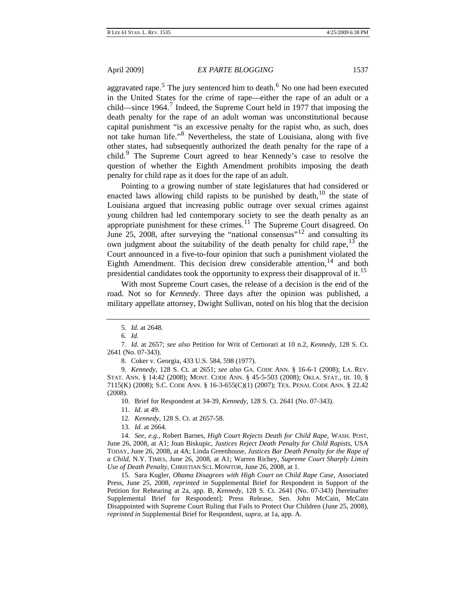aggravated rape.<sup>[5](#page-3-0)</sup> The jury sentenced him to death.<sup>[6](#page-3-1)</sup> No one had been executed in the United States for the crime of rape—either the rape of an adult or a child—since 1964.<sup>[7](#page-3-2)</sup> Indeed, the Supreme Court held in 1977 that imposing the death penalty for the rape of an adult woman was unconstitutional because capital punishment "is an excessive penalty for the rapist who, as such, does not take human life."[8](#page-3-3) Nevertheless, the state of Louisiana, along with five other states, had subsequently authorized the death penalty for the rape of a child.<sup>[9](#page-3-4)</sup> The Supreme Court agreed to hear Kennedy's case to resolve the question of whether the Eighth Amendment prohibits imposing the death penalty for child rape as it does for the rape of an adult.

Pointing to a growing number of state legislatures that had considered or enacted laws allowing child rapists to be punished by death, $10$  the state of Louisiana argued that increasing public outrage over sexual crimes against young children had led contemporary society to see the death penalty as an appropriate punishment for these crimes.<sup>[11](#page-3-6)</sup> The Supreme Court disagreed. On June 25, 2008, after surveying the "national consensus"[12](#page-3-7) and consulting its own judgment about the suitability of the death penalty for child rape,  $13$  the Court announced in a five-to-four opinion that such a punishment violated the Eighth Amendment. This decision drew considerable attention,  $14$  and both presidential candidates took the opportunity to express their disapproval of it.<sup>[15](#page-3-10)</sup>

With most Supreme Court cases, the release of a decision is the end of the road. Not so for *Kennedy*. Three days after the opinion was published, a military appellate attorney, Dwight Sullivan, noted on his blog that the decision

6. *Id*.

8. Coker v. Georgia, 433 U.S. 584, 598 (1977).

<span id="page-3-5"></span><span id="page-3-4"></span><span id="page-3-3"></span>9. *Kennedy*, 128 S. Ct. at 2651; *see also* GA. CODE ANN. § 16-6-1 (2008); LA. REV. STAT. ANN. § 14:42 (2008); MONT. CODE ANN. § 45-5-503 (2008); OKLA. STAT., tit. 10, § 7115(K) (2008); S.C. CODE ANN. § 16-3-655(C)(1) (2007); TEX. PENAL CODE ANN. § 22.42 (2008).

10. Brief for Respondent at 34-39, *Kennedy*, 128 S. Ct. 2641 (No. 07-343).

11. *Id.* at 49.

12. *Kennedy*, 128 S. Ct. at 2657-58.

13. *Id.* at 2664.

<span id="page-3-9"></span><span id="page-3-8"></span><span id="page-3-7"></span><span id="page-3-6"></span>14. *See, e.g.*, Robert Barnes, *High Court Rejects Death for Child Rape*, WASH. POST, June 26, 2008, at A1; Joan Biskupic, *Justices Reject Death Penalty for Child Rapists*, USA TODAY, June 26, 2008, at 4A; Linda Greenhouse, *Justices Bar Death Penalty for the Rape of a Child*, N.Y. TIMES, June 26, 2008, at A1; Warren Richey, *Supreme Court Sharply Limits Use of Death Penalty*, CHRISTIAN SCI. MONITOR, June 26, 2008, at 1.

<span id="page-3-10"></span>15. Sara Kugler, *Obama Disagrees with High Court on Child Rape Case*, Associated Press, June 25, 2008, *reprinted in* Supplemental Brief for Respondent in Support of the Petition for Rehearing at 2a, app. B, *Kennedy*, 128 S. Ct. 2641 (No. 07-343) [hereinafter Supplemental Brief for Respondent]; Press Release, Sen. John McCain, McCain Disappointed with Supreme Court Ruling that Fails to Protect Our Children (June 25, 2008), *reprinted in* Supplemental Brief for Respondent, *supra*, at 1a, app. A.

<sup>5.</sup> *Id.* at 2648.

<span id="page-3-2"></span><span id="page-3-1"></span><span id="page-3-0"></span><sup>7.</sup> *Id.* at 2657; *see also* Petition for Writ of Certiorari at 10 n.2, *Kennedy*, 128 S. Ct. 2641 (No. 07-343).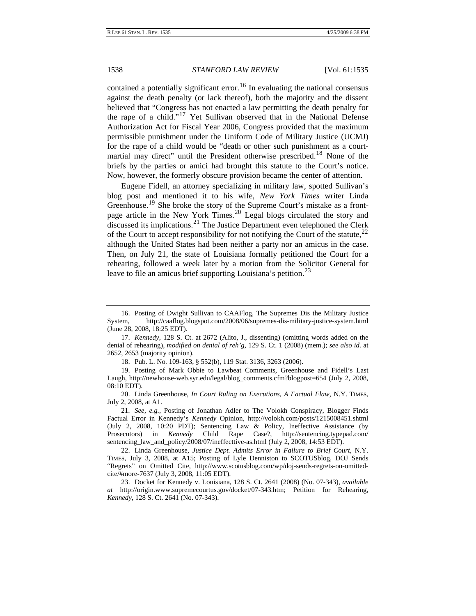contained a potentially significant error.<sup>[16](#page-4-0)</sup> In evaluating the national consensus against the death penalty (or lack thereof), both the majority and the dissent believed that "Congress has not enacted a law permitting the death penalty for the rape of a child."[17](#page-4-1) Yet Sullivan observed that in the National Defense Authorization Act for Fiscal Year 2006, Congress provided that the maximum permissible punishment under the Uniform Code of Military Justice (UCMJ) for the rape of a child would be "death or other such punishment as a court-martial may direct" until the President otherwise prescribed.<sup>[18](#page-4-2)</sup> None of the briefs by the parties or amici had brought this statute to the Court's notice. Now, however, the formerly obscure provision became the center of attention.

Eugene Fidell, an attorney specializing in military law, spotted Sullivan's blog post and mentioned it to his wife, *New York Times* writer Linda Greenhouse.<sup>[19](#page-4-3)</sup> She broke the story of the Supreme Court's mistake as a front-page article in the New York Times.<sup>[20](#page-4-4)</sup> Legal blogs circulated the story and discussed its implications.<sup>[21](#page-4-5)</sup> The Justice Department even telephoned the Clerk of the Court to accept responsibility for not notifying the Court of the statute,  $^{22}$  $^{22}$  $^{22}$ although the United States had been neither a party nor an amicus in the case. Then, on July 21, the state of Louisiana formally petitioned the Court for a rehearing, followed a week later by a motion from the Solicitor General for leave to file an amicus brief supporting Louisiana's petition.<sup>[23](#page-4-7)</sup>

<span id="page-4-4"></span>20. Linda Greenhouse, *In Court Ruling on Executions, A Factual Flaw*, N.Y. TIMES, July 2, 2008, at A1.

<span id="page-4-0"></span><sup>16.</sup> Posting of Dwight Sullivan to CAAFlog, The Supremes Dis the Military Justice System, http://caaflog.blogspot.com/2008/06/supremes-dis-military-justice-system.html (June 28, 2008, 18:25 EDT).

<span id="page-4-1"></span><sup>17.</sup> *Kennedy*, 128 S. Ct. at 2672 (Alito, J., dissenting) (omitting words added on the denial of rehearing), *modified on denial of reh'g*, 129 S. Ct. 1 (2008) (mem.); *see also id.* at 2652, 2653 (majority opinion).

<sup>18.</sup> Pub. L. No. 109-163, § 552(b), 119 Stat. 3136, 3263 (2006).

<span id="page-4-3"></span><span id="page-4-2"></span><sup>19.</sup> Posting of Mark Obbie to Lawbeat Comments, Greenhouse and Fidell's Last Laugh, http://newhouse-web.syr.edu/legal/blog\_comments.cfm?blogpost=654 (July 2, 2008, 08:10 EDT).

<span id="page-4-5"></span><sup>21.</sup> *See, e.g.*, Posting of Jonathan Adler to The Volokh Conspiracy, Blogger Finds Factual Error in Kennedy's *Kennedy* Opinion, http://volokh.com/posts/1215008451.shtml (July 2, 2008, 10:20 PDT); Sentencing Law & Policy, Ineffective Assistance (by Prosecutors) in *Kennedy* Child Rape Case?, http://sentencing.typepad.com/ sentencing law and policy/2008/07/ineffecttive-as.html (July 2, 2008, 14:53 EDT).

<span id="page-4-6"></span><sup>22.</sup> Linda Greenhouse, *Justice Dept. Admits Error in Failure to Brief Court*, N.Y. TIMES, July 3, 2008, at A15; Posting of Lyle Denniston to SCOTUSblog, DOJ Sends "Regrets" on Omitted Cite, http://www.scotusblog.com/wp/doj-sends-regrets-on-omittedcite/#more-7637 (July 3, 2008, 11:05 EDT).

<span id="page-4-7"></span><sup>23.</sup> Docket for Kennedy v. Louisiana, 128 S. Ct. 2641 (2008) (No. 07-343), *available at* http://origin.www.supremecourtus.gov/docket/07-343.htm; Petition for Rehearing, *Kennedy*, 128 S. Ct. 2641 (No. 07-343).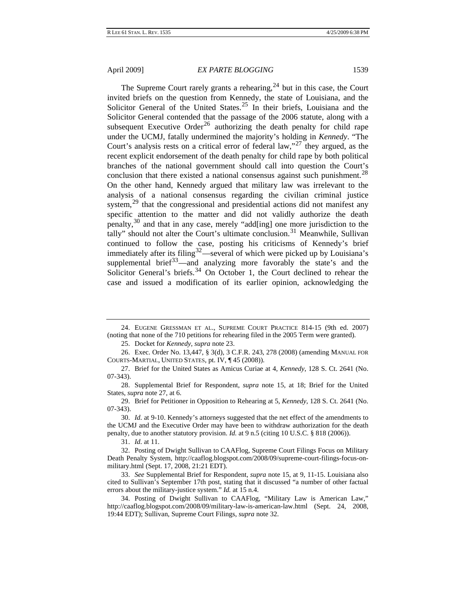The Supreme Court rarely grants a rehearing,  $2<sup>4</sup>$  but in this case, the Court invited briefs on the question from Kennedy, the state of Louisiana, and the Solicitor General of the United States.<sup>[25](#page-5-1)</sup> In their briefs, Louisiana and the Solicitor General contended that the passage of the 2006 statute, along with a subsequent Executive Order<sup>[26](#page-5-2)</sup> authorizing the death penalty for child rape under the UCMJ, fatally undermined the majority's holding in *Kennedy*. "The Court's analysis rests on a critical error of federal law,"<sup>[27](#page-5-3)</sup> they argued, as the recent explicit endorsement of the death penalty for child rape by both political branches of the national government should call into question the Court's conclusion that there existed a national consensus against such punishment.<sup>[28](#page-5-4)</sup> On the other hand, Kennedy argued that military law was irrelevant to the analysis of a national consensus regarding the civilian criminal justice system, $^{29}$  $^{29}$  $^{29}$  that the congressional and presidential actions did not manifest any specific attention to the matter and did not validly authorize the death penalty,  $30$  and that in any case, merely "add[ing] one more jurisdiction to the tally" should not alter the Court's ultimate conclusion.<sup>[31](#page-5-7)</sup> Meanwhile, Sullivan continued to follow the case, posting his criticisms of Kennedy's brief immediately after its filing<sup>[32](#page-5-8)</sup>—several of which were picked up by Louisiana's supplemental brief<sup>[33](#page-5-9)</sup>—and analyzing more favorably the state's and the Solicitor General's briefs.<sup>[34](#page-5-10)</sup> On October 1, the Court declined to rehear the case and issued a modification of its earlier opinion, acknowledging the

25. Docket for *Kennedy*, *supra* note 23.

<span id="page-5-2"></span><span id="page-5-1"></span>26. Exec. Order No. 13,447, § 3(d), 3 C.F.R. 243, 278 (2008) (amending MANUAL FOR COURTS-MARTIAL, UNITED STATES, pt. IV, ¶ 45 (2008)).

<span id="page-5-3"></span>27. Brief for the United States as Amicus Curiae at 4, *Kennedy*, 128 S. Ct. 2641 (No. 07-343).

<span id="page-5-4"></span>28. Supplemental Brief for Respondent, *supra* note 15, at 18; Brief for the United States, *supra* note 27, at 6.

<span id="page-5-5"></span>29. Brief for Petitioner in Opposition to Rehearing at 5, *Kennedy*, 128 S. Ct. 2641 (No. 07-343).

<span id="page-5-6"></span>30. *Id.* at 9-10. Kennedy's attorneys suggested that the net effect of the amendments to the UCMJ and the Executive Order may have been to withdraw authorization for the death penalty, due to another statutory provision. *Id.* at 9 n.5 (citing 10 U.S.C. § 818 (2006)).

31. *Id.* at 11.

<span id="page-5-8"></span><span id="page-5-7"></span>32. Posting of Dwight Sullivan to CAAFlog, Supreme Court Filings Focus on Military Death Penalty System, http://caaflog.blogspot.com/2008/09/supreme-court-filings-focus-onmilitary.html (Sept. 17, 2008, 21:21 EDT).

<span id="page-5-9"></span>33. *See* Supplemental Brief for Respondent, *supra* note 15, at 9, 11-15. Louisiana also cited to Sullivan's September 17th post, stating that it discussed "a number of other factual errors about the military-justice system." *Id.* at 15 n.4.

<span id="page-5-10"></span>34. Posting of Dwight Sullivan to CAAFlog, "Military Law is American Law," http://caaflog.blogspot.com/2008/09/military-law-is-american-law.html (Sept. 24, 2008, 19:44 EDT); Sullivan, Supreme Court Filings, *supra* note 32.

<span id="page-5-0"></span><sup>24.</sup> EUGENE GRESSMAN ET AL., SUPREME COURT PRACTICE 814-15 (9th ed. 2007) (noting that none of the 710 petitions for rehearing filed in the 2005 Term were granted).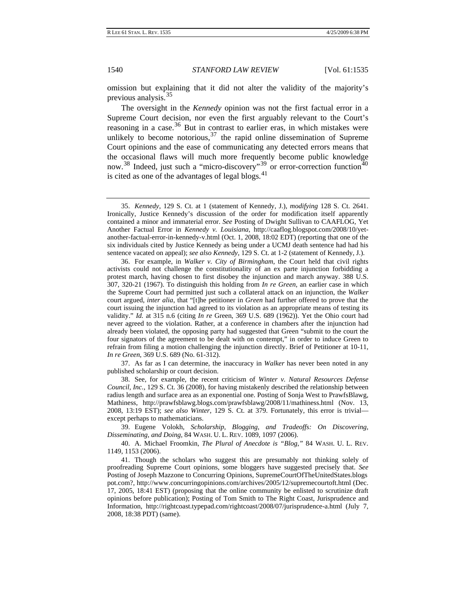previous analysis.<sup>35</sup> omission but explaining that it did not alter the validity of the majority's

The oversight in the *Kennedy* opinion was not the first factual error in a Supreme Court decision, nor even the first arguably relevant to the Court's reasoning in a case.<sup>[36](#page-6-0)</sup> But in contrast to earlier eras, in which mistakes were unlikely to become notorious,  $37$  the rapid online dissemination of Supreme Court opinions and the ease of communicating any detected errors means that the occasional flaws will much more frequently become public knowledge now.<sup>[38](#page-6-2)</sup> Indeed, just such a "micro-discovery"<sup>[39](#page-6-3)</sup> or error-correction function<sup>40</sup> is cited as one of the advantages of legal blogs. $41$ 

<span id="page-6-0"></span>36. For example, in *Walker v. City of Birmingham*, the Court held that civil rights activists could not challenge the constitutionality of an ex parte injunction forbidding a protest march, having chosen to first disobey the injunction and march anyway. 388 U.S. 307, 320-21 (1967). To distinguish this holding from *In re Green*, an earlier case in which the Supreme Court had permitted just such a collateral attack on an injunction, the *Walker* court argued, *inter alia*, that "[t]he petitioner in *Green* had further offered to prove that the court issuing the injunction had agreed to its violation as an appropriate means of testing its validity." *Id.* at 315 n.6 (citing *In re* Green, 369 U.S. 689 (1962)). Yet the Ohio court had never agreed to the violation. Rather, at a conference in chambers after the injunction had already been violated, the opposing party had suggested that Green "submit to the court the four signators of the agreement to be dealt with on contempt," in order to induce Green to refrain from filing a motion challenging the injunction directly. Brief of Petitioner at 10-11, *In re Green*, 369 U.S. 689 (No. 61-312).

<span id="page-6-1"></span>37. As far as I can determine, the inaccuracy in *Walker* has never been noted in any published scholarship or court decision.

<span id="page-6-2"></span>38. See, for example, the recent criticism of *Winter v. Natural Resources Defense Council, Inc.*, 129 S. Ct. 36 (2008), for having mistakenly described the relationship between radius length and surface area as an exponential one. Posting of Sonja West to PrawfsBlawg, Mathiness, http://prawfsblawg.blogs.com/prawfsblawg/2008/11/mathiness.html (Nov. 13, 2008, 13:19 EST); *see also Winter*, 129 S. Ct. at 379. Fortunately, this error is trivial except perhaps to mathematicians.

<span id="page-6-3"></span>39. Eugene Volokh, *Scholarship, Blogging, and Tradeoffs: On Discovering, Disseminating, and Doing*, 84 WASH. U. L. REV. 1089, 1097 (2006).

<span id="page-6-4"></span>40. A. Michael Froomkin, *The Plural of Anecdote is "Blog*,*"* 84 WASH. U. L. REV. 1149, 1153 (2006).

<span id="page-6-5"></span>41. Though the scholars who suggest this are presumably not thinking solely of proofreading Supreme Court opinions, some bloggers have suggested precisely that. *See*  Posting of Joseph Mazzone to Concurring Opinions, SupremeCourtOfTheUnitedStates.blogs pot.com?, http://www.concurringopinions.com/archives/2005/12/supremecourtoft.html (Dec. 17, 2005, 18:41 EST) (proposing that the online community be enlisted to scrutinize draft opinions before publication); Posting of Tom Smith to The Right Coast, Jurisprudence and Information, http://rightcoast.typepad.com/rightcoast/2008/07/jurisprudence-a.html (July 7, 2008, 18:38 PDT) (same).

<sup>35.</sup> *Kennedy*, 129 S. Ct. at 1 (statement of Kennedy, J.), *modifying* 128 S. Ct. 2641. Ironically, Justice Kennedy's discussion of the order for modification itself apparently contained a minor and immaterial error. *See* Posting of Dwight Sullivan to CAAFLOG, Yet Another Factual Error in *Kennedy v. Louisiana*, http://caaflog.blogspot.com/2008/10/yetanother-factual-error-in-kennedy-v.html (Oct. 1, 2008, 18:02 EDT) (reporting that one of the six individuals cited by Justice Kennedy as being under a UCMJ death sentence had had his sentence vacated on appeal); *see also Kennedy*, 129 S. Ct. at 1-2 (statement of Kennedy, J.).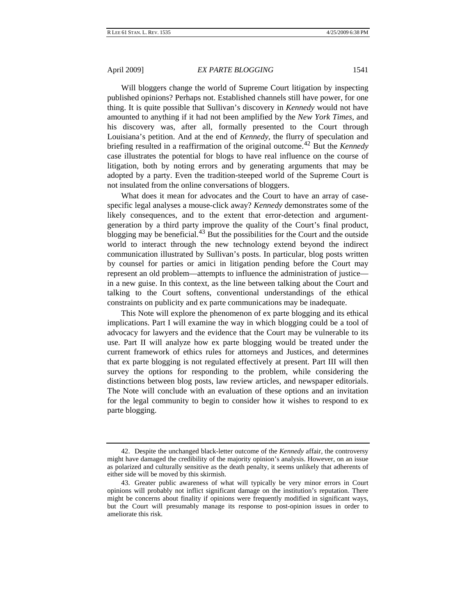Will bloggers change the world of Supreme Court litigation by inspecting published opinions? Perhaps not. Established channels still have power, for one thing. It is quite possible that Sullivan's discovery in *Kennedy* would not have amounted to anything if it had not been amplified by the *New York Times*, and his discovery was, after all, formally presented to the Court through Louisiana's petition. And at the end of *Kennedy*, the flurry of speculation and briefing resulted in a reaffirmation of the original outcome.[42](#page-7-0) But the *Kennedy* case illustrates the potential for blogs to have real influence on the course of litigation, both by noting errors and by generating arguments that may be adopted by a party. Even the tradition-steeped world of the Supreme Court is not insulated from the online conversations of bloggers.

What does it mean for advocates and the Court to have an array of casespecific legal analyses a mouse-click away? *Kennedy* demonstrates some of the likely consequences, and to the extent that error-detection and argumentgeneration by a third party improve the quality of the Court's final product, blogging may be beneficial.<sup>[43](#page-7-1)</sup> But the possibilities for the Court and the outside world to interact through the new technology extend beyond the indirect communication illustrated by Sullivan's posts. In particular, blog posts written by counsel for parties or amici in litigation pending before the Court may represent an old problem—attempts to influence the administration of justice in a new guise. In this context, as the line between talking about the Court and talking to the Court softens, conventional understandings of the ethical constraints on publicity and ex parte communications may be inadequate.

This Note will explore the phenomenon of ex parte blogging and its ethical implications. Part I will examine the way in which blogging could be a tool of advocacy for lawyers and the evidence that the Court may be vulnerable to its use. Part II will analyze how ex parte blogging would be treated under the current framework of ethics rules for attorneys and Justices, and determines that ex parte blogging is not regulated effectively at present. Part III will then survey the options for responding to the problem, while considering the distinctions between blog posts, law review articles, and newspaper editorials. The Note will conclude with an evaluation of these options and an invitation for the legal community to begin to consider how it wishes to respond to ex parte blogging.

<span id="page-7-0"></span><sup>42.</sup> Despite the unchanged black-letter outcome of the *Kennedy* affair, the controversy might have damaged the credibility of the majority opinion's analysis. However, on an issue as polarized and culturally sensitive as the death penalty, it seems unlikely that adherents of either side will be moved by this skirmish.

<span id="page-7-1"></span><sup>43.</sup> Greater public awareness of what will typically be very minor errors in Court opinions will probably not inflict significant damage on the institution's reputation. There might be concerns about finality if opinions were frequently modified in significant ways, but the Court will presumably manage its response to post-opinion issues in order to ameliorate this risk.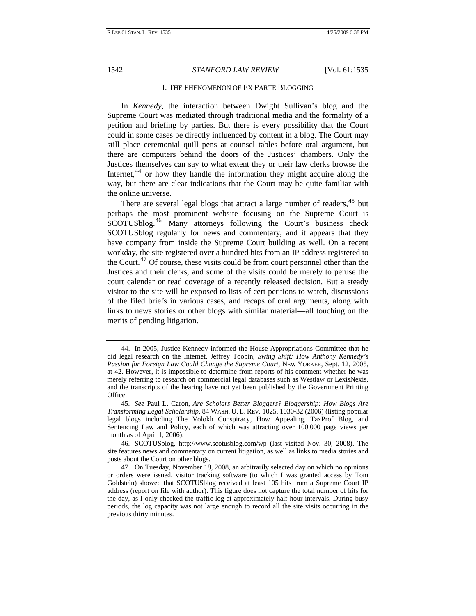#### I. THE PHENOMENON OF EX PARTE BLOGGING

<span id="page-8-0"></span>In *Kennedy*, the interaction between Dwight Sullivan's blog and the Supreme Court was mediated through traditional media and the formality of a petition and briefing by parties. But there is every possibility that the Court could in some cases be directly influenced by content in a blog. The Court may still place ceremonial quill pens at counsel tables before oral argument, but there are computers behind the doors of the Justices' chambers. Only the Justices themselves can say to what extent they or their law clerks browse the Internet, $44$  or how they handle the information they might acquire along the way, but there are clear indications that the Court may be quite familiar with the online universe.

There are several legal blogs that attract a large number of readers, <sup>[45](#page-8-2)</sup> but perhaps the most prominent website focusing on the Supreme Court is SCOTUSblog.<sup>[46](#page-8-3)</sup> Many attorneys following the Court's business check SCOTUSblog regularly for news and commentary, and it appears that they have company from inside the Supreme Court building as well. On a recent workday, the site registered over a hundred hits from an IP address registered to the Court.<sup>[47](#page-8-4)</sup> Of course, these visits could be from court personnel other than the Justices and their clerks, and some of the visits could be merely to peruse the court calendar or read coverage of a recently released decision. But a steady visitor to the site will be exposed to lists of cert petitions to watch, discussions of the filed briefs in various cases, and recaps of oral arguments, along with links to news stories or other blogs with similar material—all touching on the merits of pending litigation.

<span id="page-8-3"></span>46. SCOTUSblog, http://www.scotusblog.com/wp (last visited Nov. 30, 2008). The site features news and commentary on current litigation, as well as links to media stories and posts about the Court on other blogs.

<span id="page-8-1"></span><sup>44.</sup> In 2005, Justice Kennedy informed the House Appropriations Committee that he did legal research on the Internet. Jeffrey Toobin, *Swing Shift: How Anthony Kennedy's Passion for Foreign Law Could Change the Supreme Court*, NEW YORKER, Sept. 12, 2005, at 42. However, it is impossible to determine from reports of his comment whether he was merely referring to research on commercial legal databases such as Westlaw or LexisNexis, and the transcripts of the hearing have not yet been published by the Government Printing Office.

<span id="page-8-2"></span><sup>45.</sup> *See* Paul L. Caron, *Are Scholars Better Bloggers? Bloggership: How Blogs Are Transforming Legal Scholarship*, 84 WASH. U. L. REV. 1025, 1030-32 (2006) (listing popular legal blogs including The Volokh Conspiracy, How Appealing, TaxProf Blog, and Sentencing Law and Policy, each of which was attracting over 100,000 page views per month as of April 1, 2006).

<span id="page-8-4"></span><sup>47.</sup> On Tuesday, November 18, 2008, an arbitrarily selected day on which no opinions or orders were issued, visitor tracking software (to which I was granted access by Tom Goldstein) showed that SCOTUSblog received at least 105 hits from a Supreme Court IP address (report on file with author). This figure does not capture the total number of hits for the day, as I only checked the traffic log at approximately half-hour intervals. During busy periods, the log capacity was not large enough to record all the site visits occurring in the previous thirty minutes.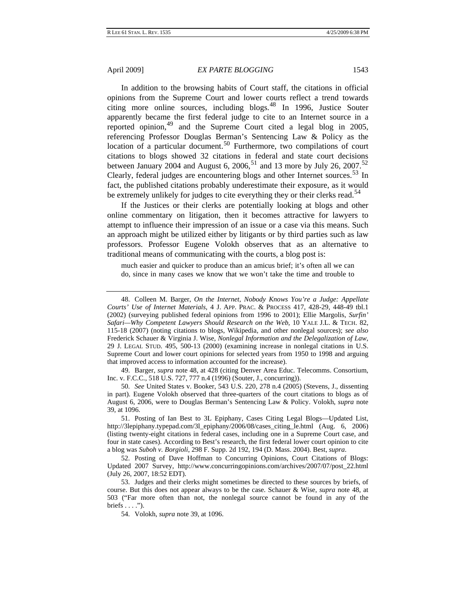In addition to the browsing habits of Court staff, the citations in official opinions from the Supreme Court and lower courts reflect a trend towards citing more online sources, including blogs.  $48$  In 1996, Justice Souter apparently became the first federal judge to cite to an Internet source in a reported opinion,  $49$  and the Supreme Court cited a legal blog in 2005, referencing Professor Douglas Berman's Sentencing Law & Policy as the location of a particular document.<sup>[50](#page-9-2)</sup> Furthermore, two compilations of court citations to blogs showed 32 citations in federal and state court decisions between January 2004 and August 6, 2006,<sup>[51](#page-9-3)</sup> and 13 more by July 26, 2007.<sup>52</sup> Clearly, federal judges are encountering blogs and other Internet sources.<sup>[53](#page-9-5)</sup> In fact, the published citations probably underestimate their exposure, as it would be extremely unlikely for judges to cite everything they or their clerks read.<sup>[54](#page-9-6)</sup>

If the Justices or their clerks are potentially looking at blogs and other online commentary on litigation, then it becomes attractive for lawyers to attempt to influence their impression of an issue or a case via this means. Such an approach might be utilized either by litigants or by third parties such as law professors. Professor Eugene Volokh observes that as an alternative to traditional means of communicating with the courts, a blog post is:

much easier and quicker to produce than an amicus brief; it's often all we can do, since in many cases we know that we won't take the time and trouble to

<span id="page-9-1"></span>49. Barger, *supra* note 48, at 428 (citing Denver Area Educ. Telecomms. Consortium, Inc. v. F.C.C., 518 U.S. 727, 777 n.4 (1996) (Souter, J., concurring)).

<span id="page-9-2"></span>50. *See* United States v. Booker, 543 U.S. 220, 278 n.4 (2005) (Stevens, J., dissenting in part). Eugene Volokh observed that three-quarters of the court citations to blogs as of August 6, 2006, were to Douglas Berman's Sentencing Law & Policy. Volokh, *supra* note 39, at 1096.

<span id="page-9-3"></span>51. Posting of Ian Best to 3L Epiphany, Cases Citing Legal Blogs—Updated List, http://3lepiphany.typepad.com/3l\_epiphany/2006/08/cases\_citing\_le.html (Aug. 6, 2006) (listing twenty-eight citations in federal cases, including one in a Supreme Court case, and four in state cases). According to Best's research, the first federal lower court opinion to cite a blog was *Suboh v. Borgioli*, 298 F. Supp. 2d 192, 194 (D. Mass. 2004). Best, *supra*.

<span id="page-9-4"></span>52. Posting of Dave Hoffman to Concurring Opinions, Court Citations of Blogs: Updated 2007 Survey, http://www.concurringopinions.com/archives/2007/07/post\_22.html (July 26, 2007, 18:52 EDT).

<span id="page-9-6"></span><span id="page-9-5"></span>53. Judges and their clerks might sometimes be directed to these sources by briefs, of course. But this does not appear always to be the case. Schauer & Wise, *supra* note 48, at 503 ("Far more often than not, the nonlegal source cannot be found in any of the briefs  $\dots$ .").

54. Volokh, *supra* note 39, at 1096.

<span id="page-9-0"></span><sup>48.</sup> Colleen M. Barger, *On the Internet, Nobody Knows You're a Judge: Appellate Courts' Use of Internet Materials*, 4 J. APP. PRAC. & PROCESS 417, 428-29, 448-49 tbl.1 (2002) (surveying published federal opinions from 1996 to 2001); Ellie Margolis, *Surfin' Safari—Why Competent Lawyers Should Research on the Web*, 10 YALE J.L. & TECH. 82, 115-18 (2007) (noting citations to blogs, Wikipedia, and other nonlegal sources); *see also*  Frederick Schauer & Virginia J. Wise, *Nonlegal Information and the Delegalization of Law*, 29 J. LEGAL STUD. 495, 500-13 (2000) (examining increase in nonlegal citations in U.S. Supreme Court and lower court opinions for selected years from 1950 to 1998 and arguing that improved access to information accounted for the increase).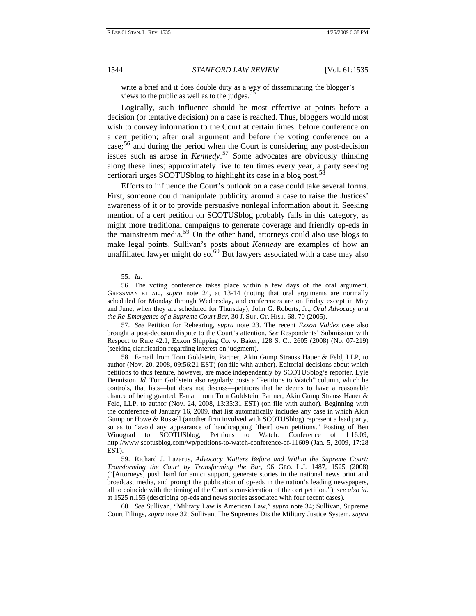write a brief and it does double duty as a way of disseminating the blogger's views to the public as well as to the judges.<sup>5</sup>

Logically, such influence should be most effective at points before a decision (or tentative decision) on a case is reached. Thus, bloggers would most wish to convey information to the Court at certain times: before conference on a cert petition; after oral argument and before the voting conference on a case;[56](#page-10-1) and during the period when the Court is considering any post-decision issues such as arose in *Kennedy*. [57](#page-10-2) Some advocates are obviously thinking along these lines; approximately five to ten times every year, a party seeking certiorari urges SCOTUS blog to highlight its case in a blog post.<sup>[58](#page-10-3)</sup>

Efforts to influence the Court's outlook on a case could take several forms. First, someone could manipulate publicity around a case to raise the Justices' awareness of it or to provide persuasive nonlegal information about it. Seeking mention of a cert petition on SCOTUSblog probably falls in this category, as might more traditional campaigns to generate coverage and friendly op-eds in the mainstream media.[59](#page-10-4) On the other hand, attorneys could also use blogs to make legal points. Sullivan's posts about *Kennedy* are examples of how an unaffiliated lawyer might do so.<sup>[60](#page-10-5)</sup> But lawyers associated with a case may also

<span id="page-10-2"></span>57. *See* Petition for Rehearing, *supra* note 23. The recent *Exxon Valdez* case also brought a post-decision dispute to the Court's attention. *See* Respondents' Submission with Respect to Rule 42.1, Exxon Shipping Co. v. Baker, 128 S. Ct. 2605 (2008) (No. 07-219) (seeking clarification regarding interest on judgment).

<span id="page-10-3"></span>58. E-mail from Tom Goldstein, Partner, Akin Gump Strauss Hauer & Feld, LLP, to author (Nov. 20, 2008, 09:56:21 EST) (on file with author). Editorial decisions about which petitions to thus feature, however, are made independently by SCOTUSblog's reporter, Lyle Denniston. *Id.* Tom Goldstein also regularly posts a "Petitions to Watch" column, which he controls, that lists—but does not discuss—petitions that he deems to have a reasonable chance of being granted. E-mail from Tom Goldstein, Partner, Akin Gump Strauss Hauer & Feld, LLP, to author (Nov. 24, 2008, 13:35:31 EST) (on file with author). Beginning with the conference of January 16, 2009, that list automatically includes any case in which Akin Gump or Howe & Russell (another firm involved with SCOTUSblog) represent a lead party, so as to "avoid any appearance of handicapping [their] own petitions." Posting of Ben Winograd to SCOTUSblog, Petitions to Watch: Conference of 1.16.09, http://www.scotusblog.com/wp/petitions-to-watch-conference-of-11609 (Jan. 5, 2009, 17:28 EST).

<span id="page-10-4"></span>59. Richard J. Lazarus, *Advocacy Matters Before and Within the Supreme Court: Transforming the Court by Transforming the Bar*, 96 GEO. L.J. 1487, 1525 (2008) ("[Attorneys] push hard for amici support, generate stories in the national news print and broadcast media, and prompt the publication of op-eds in the nation's leading newspapers, all to coincide with the timing of the Court's consideration of the cert petition."); *see also id.* at 1525 n.155 (describing op-eds and news stories associated with four recent cases).

<span id="page-10-5"></span>60. *See* Sullivan, "Military Law is American Law," *supra* note 34; Sullivan, Supreme Court Filings, *supra* note 32; Sullivan, The Supremes Dis the Military Justice System, *supra*

<sup>55.</sup> *Id.*

<span id="page-10-1"></span><span id="page-10-0"></span><sup>56.</sup> The voting conference takes place within a few days of the oral argument. GRESSMAN ET AL., *supra* note 24, at 13-14 (noting that oral arguments are normally scheduled for Monday through Wednesday, and conferences are on Friday except in May and June, when they are scheduled for Thursday); John G. Roberts, Jr., *Oral Advocacy and the Re-Emergence of a Supreme Court Bar*, 30 J. SUP. CT. HIST. 68, 70 (2005).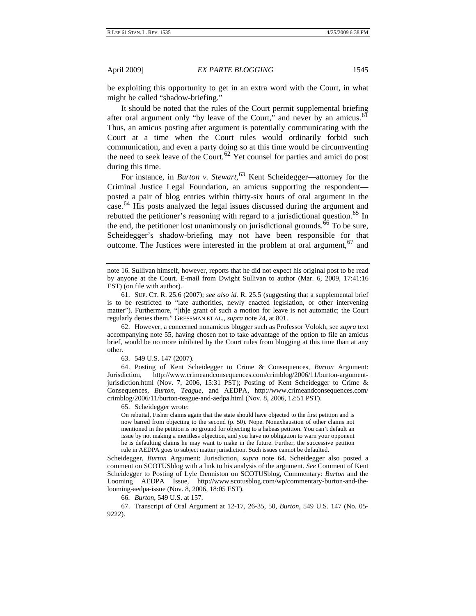be exploiting this opportunity to get in an extra word with the Court, in what might be called "shadow-briefing."

It should be noted that the rules of the Court permit supplemental briefing after oral argument only "by leave of the Court," and never by an amicus.<sup>[61](#page-11-0)</sup> Thus, an amicus posting after argument is potentially communicating with the Court at a time when the Court rules would ordinarily forbid such communication, and even a party doing so at this time would be circumventing the need to seek leave of the Court.<sup>[62](#page-11-1)</sup> Yet counsel for parties and amici do post during this time.

For instance, in *Burton v. Stewart*, [63](#page-11-2) Kent Scheidegger—attorney for the Criminal Justice Legal Foundation, an amicus supporting the respondent posted a pair of blog entries within thirty-six hours of oral argument in the case.<sup>[64](#page-11-3)</sup> His posts analyzed the legal issues discussed during the argument and rebutted the petitioner's reasoning with regard to a jurisdictional question.<sup>[65](#page-11-4)</sup> In the end, the petitioner lost unanimously on jurisdictional grounds.  $\frac{6}{6}$  To be sure, Scheidegger's shadow-briefing may not have been responsible for that outcome. The Justices were interested in the problem at oral argument,  $67$  and

<span id="page-11-1"></span>62. However, a concerned nonamicus blogger such as Professor Volokh, see *supra* text accompanying note 55, having chosen not to take advantage of the option to file an amicus brief, would be no more inhibited by the Court rules from blogging at this time than at any other.

63. 549 U.S. 147 (2007).

<span id="page-11-4"></span><span id="page-11-3"></span><span id="page-11-2"></span>64. Posting of Kent Scheidegger to Crime & Consequences, *Burton* Argument: Jurisdiction, http://www.crimeandconsequences.com/crimblog/2006/11/burton-argumentjurisdiction.html (Nov. 7, 2006, 15:31 PST); Posting of Kent Scheidegger to Crime & Consequences, *Burton*, *Teague*, and AEDPA, http://www.crimeandconsequences.com/ crimblog/2006/11/burton-teague-and-aedpa.html (Nov. 8, 2006, 12:51 PST).

65. Scheidegger wrote:

On rebuttal, Fisher claims again that the state should have objected to the first petition and is now barred from objecting to the second (p. 50). Nope. Nonexhaustion of other claims not mentioned in the petition is no ground for objecting to a habeas petition. You can't default an issue by not making a meritless objection, and you have no obligation to warn your opponent he is defaulting claims he may want to make in the future. Further, the successive petition rule in AEDPA goes to subject matter jurisdiction. Such issues cannot be defaulted.

Scheidegger, *Burton* Argument: Jurisdiction, *supra* note 64. Scheidegger also posted a comment on SCOTUSblog with a link to his analysis of the argument. *See* Comment of Kent Scheidegger to Posting of Lyle Denniston on SCOTUSblog, Commentary: *Burton* and the Looming AEDPA Issue, http://www.scotusblog.com/wp/commentary-burton-and-thelooming-aedpa-issue (Nov. 8, 2006, 18:05 EST).

66. *Burton*, 549 U.S. at 157.

<span id="page-11-6"></span><span id="page-11-5"></span>67. Transcript of Oral Argument at 12-17, 26-35, 50, *Burton*, 549 U.S. 147 (No. 05- 9222).

note 16. Sullivan himself, however, reports that he did not expect his original post to be read by anyone at the Court. E-mail from Dwight Sullivan to author (Mar. 6, 2009, 17:41:16 EST) (on file with author).

<span id="page-11-0"></span><sup>61.</sup> SUP. CT. R. 25.6 (2007); *see also id.* R. 25.5 (suggesting that a supplemental brief is to be restricted to "late authorities, newly enacted legislation, or other intervening matter"). Furthermore, "[th]e grant of such a motion for leave is not automatic; the Court regularly denies them." GRESSMAN ET AL., *supra* note 24, at 801.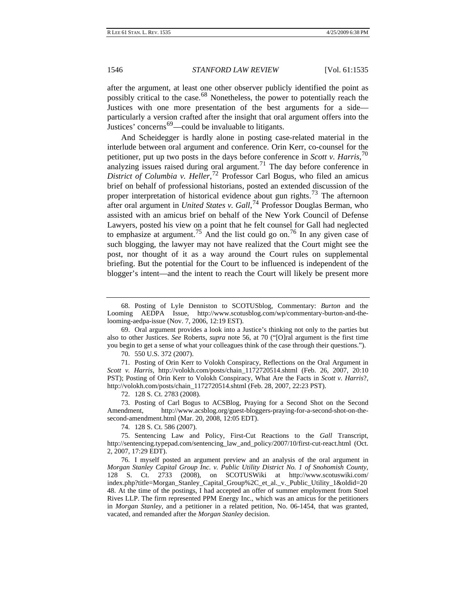after the argument, at least one other observer publicly identified the point as possibly critical to the case.[68](#page-12-0) Nonetheless, the power to potentially reach the Justices with one more presentation of the best arguments for a side particularly a version crafted after the insight that oral argument offers into the Justices' concerns<sup>[69](#page-12-1)</sup>—could be invaluable to litigants.

And Scheidegger is hardly alone in posting case-related material in the interlude between oral argument and conference. Orin Kerr, co-counsel for the petitioner, put up two posts in the days before conference in *Scott v. Harris*, [70](#page-12-2) analyzing issues raised during oral argument.<sup>[71](#page-12-3)</sup> The day before conference in *District of Columbia v. Heller*, [72](#page-12-4) Professor Carl Bogus, who filed an amicus brief on behalf of professional historians, posted an extended discussion of the proper interpretation of historical evidence about gun rights.<sup>[73](#page-12-5)</sup> The afternoon after oral argument in *United States v. Gall*, [74](#page-12-6) Professor Douglas Berman, who assisted with an amicus brief on behalf of the New York Council of Defense Lawyers, posted his view on a point that he felt counsel for Gall had neglected to emphasize at argument.<sup>[75](#page-12-7)</sup> And the list could go on.<sup>[76](#page-12-8)</sup> In any given case of such blogging, the lawyer may not have realized that the Court might see the post, nor thought of it as a way around the Court rules on supplemental briefing. But the potential for the Court to be influenced is independent of the blogger's intent—and the intent to reach the Court will likely be present more

<span id="page-12-0"></span>68. Posting of Lyle Denniston to SCOTUSblog, Commentary: *Burton* and the Looming AEDPA Issue, http://www.scotusblog.com/wp/commentary-burton-and-thelooming-aedpa-issue (Nov. 7, 2006, 12:19 EST).

<span id="page-12-1"></span>69. Oral argument provides a look into a Justice's thinking not only to the parties but also to other Justices. *See* Roberts, *supra* note 56, at 70 ("[O]ral argument is the first time you begin to get a sense of what your colleagues think of the case through their questions.").

70. 550 U.S. 372 (2007).

<span id="page-12-3"></span><span id="page-12-2"></span>71. Posting of Orin Kerr to Volokh Conspiracy, Reflections on the Oral Argument in *Scott v. Harris*, http://volokh.com/posts/chain\_1172720514.shtml (Feb. 26, 2007, 20:10 PST); Posting of Orin Kerr to Volokh Conspiracy, What Are the Facts in *Scott v. Harris*?, http://volokh.com/posts/chain\_1172720514.shtml (Feb. 28, 2007, 22:23 PST).

72. 128 S. Ct. 2783 (2008).

<span id="page-12-5"></span><span id="page-12-4"></span>73. Posting of Carl Bogus to ACSBlog, Praying for a Second Shot on the Second Amendment, http://www.acsblog.org/guest-bloggers-praying-for-a-second-shot-on-thesecond-amendment.html (Mar. 20, 2008, 12:05 EDT).

74. 128 S. Ct. 586 (2007).

<span id="page-12-7"></span><span id="page-12-6"></span>75. Sentencing Law and Policy, First-Cut Reactions to the *Gall* Transcript, http://sentencing.typepad.com/sentencing\_law\_and\_policy/2007/10/first-cut-react.html (Oct. 2, 2007, 17:29 EDT).

<span id="page-12-8"></span>76. I myself posted an argument preview and an analysis of the oral argument in *Morgan Stanley Capital Group Inc. v. Public Utility District No. 1 of Snohomish County*, 128 S. Ct. 2733 (2008), on SCOTUSWiki at http://www.scotuswiki.com/ index.php?title=Morgan\_Stanley\_Capital\_Group%2C\_et\_al.\_v.\_Public\_Utility\_1&oldid=20 48. At the time of the postings, I had accepted an offer of summer employment from Stoel Rives LLP. The firm represented PPM Energy Inc., which was an amicus for the petitioners in *Morgan Stanley*, and a petitioner in a related petition, No. 06-1454, that was granted, vacated, and remanded after the *Morgan Stanley* decision.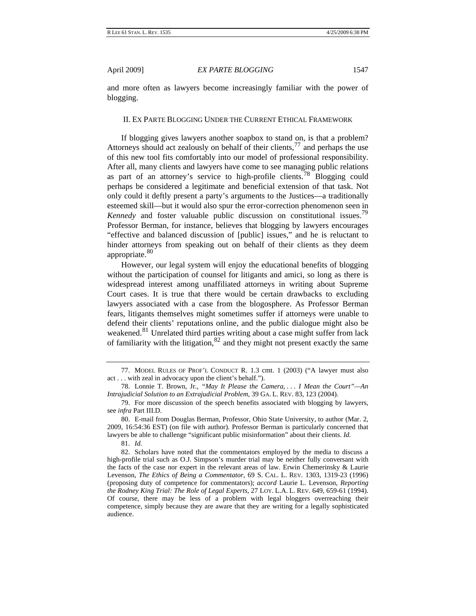<span id="page-13-0"></span>and more often as lawyers become increasingly familiar with the power of blogging.

#### II. EX PARTE BLOGGING UNDER THE CURRENT ETHICAL FRAMEWORK

If blogging gives lawyers another soapbox to stand on, is that a problem? Attorneys should act zealously on behalf of their clients,  $^{77}$  $^{77}$  $^{77}$  and perhaps the use of this new tool fits comfortably into our model of professional responsibility. After all, many clients and lawyers have come to see managing public relations as part of an attorney's service to high-profile clients.[78](#page-13-2) Blogging could perhaps be considered a legitimate and beneficial extension of that task. Not only could it deftly present a party's arguments to the Justices—a traditionally esteemed skill—but it would also spur the error-correction phenomenon seen in *Kennedy* and foster valuable public discussion on constitutional issues.<sup>[79](#page-13-3)</sup> Professor Berman, for instance, believes that blogging by lawyers encourages "effective and balanced discussion of [public] issues," and he is reluctant to hinder attorneys from speaking out on behalf of their clients as they deem appropriate.<sup>[80](#page-13-4)</sup>

However, our legal system will enjoy the educational benefits of blogging without the participation of counsel for litigants and amici, so long as there is widespread interest among unaffiliated attorneys in writing about Supreme Court cases. It is true that there would be certain drawbacks to excluding lawyers associated with a case from the blogosphere. As Professor Berman fears, litigants themselves might sometimes suffer if attorneys were unable to defend their clients' reputations online, and the public dialogue might also be weakened.<sup>[81](#page-13-5)</sup> Unrelated third parties writing about a case might suffer from lack of familiarity with the litigation,  $82$  and they might not present exactly the same

<span id="page-13-1"></span><sup>77.</sup> MODEL RULES OF PROF'L CONDUCT R. 1.3 cmt. 1 (2003) ("A lawyer must also act . . . with zeal in advocacy upon the client's behalf.").

<span id="page-13-2"></span><sup>78.</sup> Lonnie T. Brown, Jr., *"May It Please the Camera, . . . I Mean the Court"—An Intrajudicial Solution to an Extrajudicial Problem*, 39 GA. L. REV. 83, 123 (2004).

<span id="page-13-3"></span><sup>79.</sup> For more discussion of the speech benefits associated with blogging by lawyers, see *infra* Part III.D.

<span id="page-13-4"></span><sup>80.</sup> E-mail from Douglas Berman, Professor, Ohio State University, to author (Mar. 2, 2009, 16:54:36 EST) (on file with author). Professor Berman is particularly concerned that lawyers be able to challenge "significant public misinformation" about their clients. *Id.*

<sup>81.</sup> *Id.*

<span id="page-13-6"></span><span id="page-13-5"></span><sup>82.</sup> Scholars have noted that the commentators employed by the media to discuss a high-profile trial such as O.J. Simpson's murder trial may be neither fully conversant with the facts of the case nor expert in the relevant areas of law. Erwin Chemerinsky & Laurie Levenson, *The Ethics of Being a Commentator*, 69 S. CAL. L. REV. 1303, 1319-23 (1996) (proposing duty of competence for commentators); *accord* Laurie L. Levenson, *Reporting the Rodney King Trial: The Role of Legal Experts*, 27 LOY. L.A. L. REV. 649, 659-61 (1994). Of course, there may be less of a problem with legal bloggers overreaching their competence, simply because they are aware that they are writing for a legally sophisticated audience.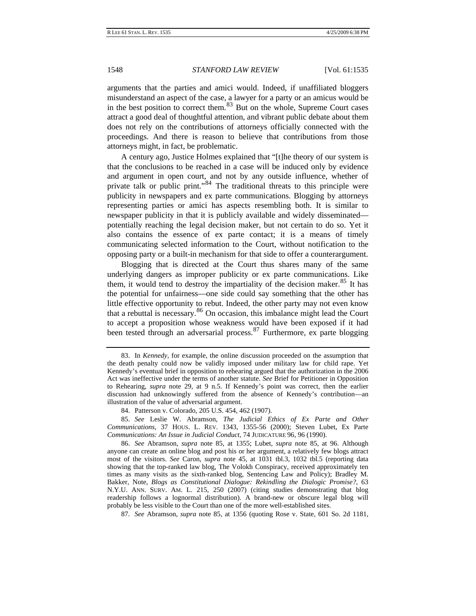arguments that the parties and amici would. Indeed, if unaffiliated bloggers misunderstand an aspect of the case, a lawyer for a party or an amicus would be in the best position to correct them. $83$  But on the whole, Supreme Court cases attract a good deal of thoughtful attention, and vibrant public debate about them does not rely on the contributions of attorneys officially connected with the proceedings. And there is reason to believe that contributions from those attorneys might, in fact, be problematic.

A century ago, Justice Holmes explained that "[t]he theory of our system is that the conclusions to be reached in a case will be induced only by evidence and argument in open court, and not by any outside influence, whether of private talk or public print."[84](#page-14-1) The traditional threats to this principle were publicity in newspapers and ex parte communications. Blogging by attorneys representing parties or amici has aspects resembling both. It is similar to newspaper publicity in that it is publicly available and widely disseminated potentially reaching the legal decision maker, but not certain to do so. Yet it also contains the essence of ex parte contact; it is a means of timely communicating selected information to the Court, without notification to the opposing party or a built-in mechanism for that side to offer a counterargument.

Blogging that is directed at the Court thus shares many of the same underlying dangers as improper publicity or ex parte communications. Like them, it would tend to destroy the impartiality of the decision maker. $85$  It has the potential for unfairness—one side could say something that the other has little effective opportunity to rebut. Indeed, the other party may not even know that a rebuttal is necessary.[86](#page-14-3) On occasion, this imbalance might lead the Court to accept a proposition whose weakness would have been exposed if it had been tested through an adversarial process.  $87$  Furthermore, ex parte blogging

<span id="page-14-4"></span>87. *See* Abramson, *supra* note 85, at 1356 (quoting Rose v. State, 601 So. 2d 1181,

<span id="page-14-0"></span><sup>83.</sup> In *Kennedy*, for example, the online discussion proceeded on the assumption that the death penalty could now be validly imposed under military law for child rape. Yet Kennedy's eventual brief in opposition to rehearing argued that the authorization in the 2006 Act was ineffective under the terms of another statute. *See* Brief for Petitioner in Opposition to Rehearing, *supra* note 29, at 9 n.5. If Kennedy's point was correct, then the earlier discussion had unknowingly suffered from the absence of Kennedy's contribution—an illustration of the value of adversarial argument.

<sup>84.</sup> Patterson v. Colorado, 205 U.S. 454, 462 (1907).

<span id="page-14-2"></span><span id="page-14-1"></span><sup>85.</sup> *See* Leslie W. Abramson, *The Judicial Ethics of Ex Parte and Other Communications*, 37 HOUS. L. REV. 1343, 1355-56 (2000); Steven Lubet, Ex Parte *Communications: An Issue in Judicial Conduct*, 74 JUDICATURE 96, 96 (1990).

<span id="page-14-3"></span><sup>86.</sup> *See* Abramson, *supra* note 85, at 1355; Lubet, *supra* note 85, at 96. Although anyone can create an online blog and post his or her argument, a relatively few blogs attract most of the visitors. *See* Caron, *supra* note 45, at 1031 tbl.3, 1032 tbl.5 (reporting data showing that the top-ranked law blog, The Volokh Conspiracy, received approximately ten times as many visits as the sixth-ranked blog, Sentencing Law and Policy); Bradley M. Bakker, Note, *Blogs as Constitutional Dialogue: Rekindling the Dialogic Promise?*, 63 N.Y.U. ANN. SURV. AM. L. 215, 250 (2007) (citing studies demonstrating that blog readership follows a lognormal distribution). A brand-new or obscure legal blog will probably be less visible to the Court than one of the more well-established sites.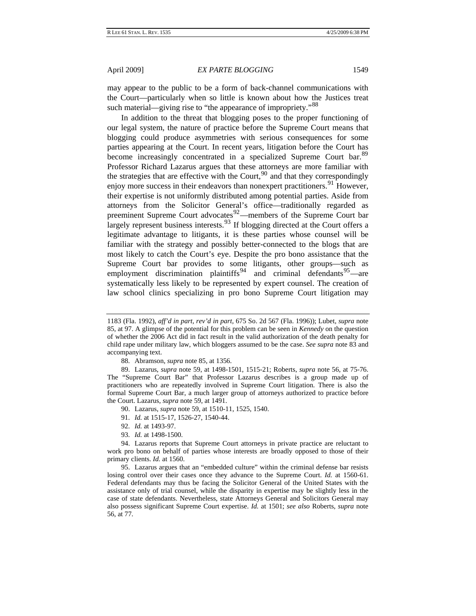may appear to the public to be a form of back-channel communications with the Court—particularly when so little is known about how the Justices treat such material—giving rise to "the appearance of impropriety."<sup>[88](#page-15-0)</sup>

In addition to the threat that blogging poses to the proper functioning of our legal system, the nature of practice before the Supreme Court means that blogging could produce asymmetries with serious consequences for some parties appearing at the Court. In recent years, litigation before the Court has become increasingly concentrated in a specialized Supreme Court bar.<sup>[89](#page-15-1)</sup> Professor Richard Lazarus argues that these attorneys are more familiar with the strategies that are effective with the Court,  $90$  and that they correspondingly enjoy more success in their endeavors than nonexpert practitioners.<sup>[91](#page-15-3)</sup> However, their expertise is not uniformly distributed among potential parties. Aside from attorneys from the Solicitor General's office—traditionally regarded as preeminent Supreme Court advocates<sup>[92](#page-15-4)</sup>—members of the Supreme Court bar largely represent business interests.<sup>[93](#page-15-5)</sup> If blogging directed at the Court offers a legitimate advantage to litigants, it is these parties whose counsel will be familiar with the strategy and possibly better-connected to the blogs that are most likely to catch the Court's eye. Despite the pro bono assistance that the Supreme Court bar provides to some litigants, other groups—such as employment discrimination plaintiffs<sup>[94](#page-15-6)</sup> and criminal defendants<sup>[95](#page-15-7)</sup>—are systematically less likely to be represented by expert counsel. The creation of law school clinics specializing in pro bono Supreme Court litigation may

- 90. Lazarus, *supra* note 59, at 1510-11, 1525, 1540.
- 91. *Id.* at 1515-17, 1526-27, 1540-44.
- 92. *Id.* at 1493-97.
- 93. *Id.* at 1498-1500.

<span id="page-15-7"></span>95. Lazarus argues that an "embedded culture" within the criminal defense bar resists losing control over their cases once they advance to the Supreme Court. *Id.* at 1560-61. Federal defendants may thus be facing the Solicitor General of the United States with the assistance only of trial counsel, while the disparity in expertise may be slightly less in the case of state defendants. Nevertheless, state Attorneys General and Solicitors General may also possess significant Supreme Court expertise. *Id.* at 1501; *see also* Roberts, *supra* note 56, at 77.

<sup>1183 (</sup>Fla. 1992), *aff'd in part, rev'd in part*, 675 So. 2d 567 (Fla. 1996)); Lubet, *supra* note 85, at 97. A glimpse of the potential for this problem can be seen in *Kennedy* on the question of whether the 2006 Act did in fact result in the valid authorization of the death penalty for child rape under military law, which bloggers assumed to be the case. *See supra* note 83 and accompanying text.

<sup>88.</sup> Abramson, *supra* note 85, at 1356.

<span id="page-15-1"></span><span id="page-15-0"></span><sup>89.</sup> Lazarus, *supra* note 59, at 1498-1501, 1515-21; Roberts, *supra* note 56, at 75-76. The "Supreme Court Bar" that Professor Lazarus describes is a group made up of practitioners who are repeatedly involved in Supreme Court litigation. There is also the formal Supreme Court Bar, a much larger group of attorneys authorized to practice before the Court. Lazarus, *supra* note 59, at 1491.

<span id="page-15-6"></span><span id="page-15-5"></span><span id="page-15-4"></span><span id="page-15-3"></span><span id="page-15-2"></span><sup>94.</sup> Lazarus reports that Supreme Court attorneys in private practice are reluctant to work pro bono on behalf of parties whose interests are broadly opposed to those of their primary clients. *Id.* at 1560.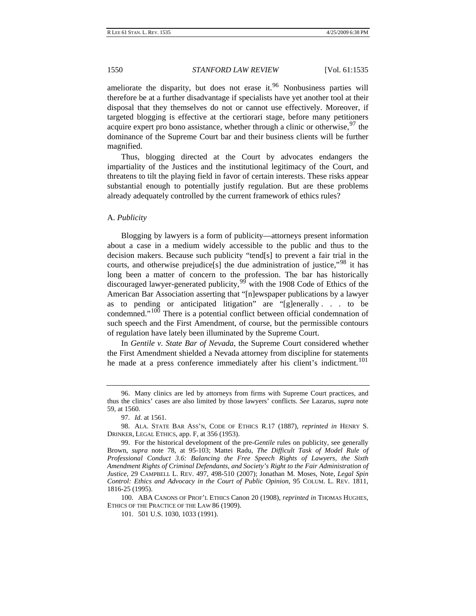<span id="page-16-0"></span>ameliorate the disparity, but does not erase it.<sup>[96](#page-16-1)</sup> Nonbusiness parties will therefore be at a further disadvantage if specialists have yet another tool at their disposal that they themselves do not or cannot use effectively. Moreover, if targeted blogging is effective at the certiorari stage, before many petitioners acquire expert pro bono assistance, whether through a clinic or otherwise,  $97$  the dominance of the Supreme Court bar and their business clients will be further magnified.

Thus, blogging directed at the Court by advocates endangers the impartiality of the Justices and the institutional legitimacy of the Court, and threatens to tilt the playing field in favor of certain interests. These risks appear substantial enough to potentially justify regulation. But are these problems already adequately controlled by the current framework of ethics rules?

#### A. *Publicity*

Blogging by lawyers is a form of publicity—attorneys present information about a case in a medium widely accessible to the public and thus to the decision makers. Because such publicity "tend[s] to prevent a fair trial in the courts, and otherwise prejudice<sup>[s]</sup> the due administration of justice,<sup> $98$ </sup> it has long been a matter of concern to the profession. The bar has historically discouraged lawyer-generated publicity,  $99<sup>6</sup>$  $99<sup>6</sup>$  with the 1908 Code of Ethics of the American Bar Association asserting that "[n]ewspaper publications by a lawyer as to pending or anticipated litigation" are "[g]enerally . . . to be condemned."<sup>[100](#page-16-5)</sup> There is a potential conflict between official condemnation of such speech and the First Amendment, of course, but the permissible contours of regulation have lately been illuminated by the Supreme Court.

In *Gentile v. State Bar of Nevada*, the Supreme Court considered whether the First Amendment shielded a Nevada attorney from discipline for statements he made at a press conference immediately after his client's indictment.<sup>[101](#page-16-6)</sup>

<span id="page-16-1"></span><sup>96.</sup> Many clinics are led by attorneys from firms with Supreme Court practices, and thus the clinics' cases are also limited by those lawyers' conflicts. *See* Lazarus, *supra* note 59, at 1560.

<sup>97.</sup> *Id.* at 1561.

<span id="page-16-3"></span><span id="page-16-2"></span><sup>98.</sup> ALA. STATE BAR ASS'N, CODE OF ETHICS R.17 (1887), *reprinted in* HENRY S. DRINKER, LEGAL ETHICS, app. F, at 356 (1953).

<span id="page-16-4"></span><sup>99.</sup> For the historical development of the pre-*Gentile* rules on publicity, see generally Brown, *supra* note 78, at 95-103; Mattei Radu, *The Difficult Task of Model Rule of Professional Conduct 3.6: Balancing the Free Speech Rights of Lawyers, the Sixth Amendment Rights of Criminal Defendants, and Society's Right to the Fair Administration of Justice*, 29 CAMPBELL L. REV. 497, 498-510 (2007); Jonathan M. Moses, Note, *Legal Spin Control: Ethics and Advocacy in the Court of Public Opinion*, 95 COLUM. L. REV. 1811, 1816-25 (1995).

<span id="page-16-6"></span><span id="page-16-5"></span><sup>100.</sup> ABA CANONS OF PROF'L ETHICS Canon 20 (1908), *reprinted in* THOMAS HUGHES, ETHICS OF THE PRACTICE OF THE LAW 86 (1909).

<sup>101. 501</sup> U.S. 1030, 1033 (1991).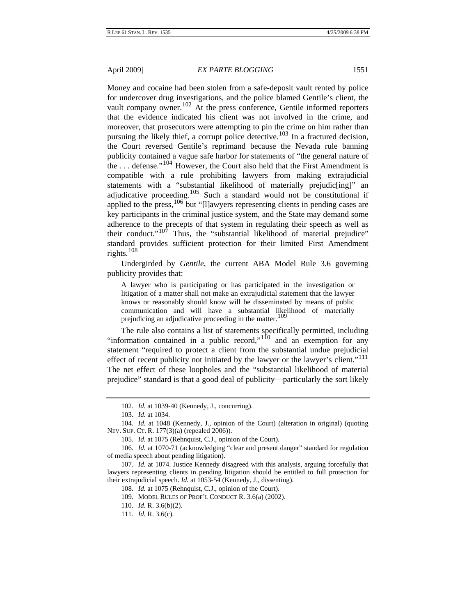Money and cocaine had been stolen from a safe-deposit vault rented by police for undercover drug investigations, and the police blamed Gentile's client, the vault company owner.<sup>[102](#page-17-0)</sup> At the press conference, Gentile informed reporters that the evidence indicated his client was not involved in the crime, and moreover, that prosecutors were attempting to pin the crime on him rather than pursuing the likely thief, a corrupt police detective.<sup>[103](#page-17-1)</sup> In a fractured decision, the Court reversed Gentile's reprimand because the Nevada rule banning publicity contained a vague safe harbor for statements of "the general nature of the . . . defense."[104](#page-17-2) However, the Court also held that the First Amendment is compatible with a rule prohibiting lawyers from making extrajudicial statements with a "substantial likelihood of materially prejudic[ing]" an adjudicative proceeding.[105](#page-17-3) Such a standard would not be constitutional if applied to the press,  $106$  but "[l]awyers representing clients in pending cases are key participants in the criminal justice system, and the State may demand some adherence to the precepts of that system in regulating their speech as well as their conduct." $10<sup>7</sup>$  Thus, the "substantial likelihood of material prejudice" standard provides sufficient protection for their limited First Amendment rights. $108$ 

Undergirded by *Gentile*, the current ABA Model Rule 3.6 governing publicity provides that:

A lawyer who is participating or has participated in the investigation or litigation of a matter shall not make an extrajudicial statement that the lawyer knows or reasonably should know will be disseminated by means of public communication and will have a substantial likelihood of materially prejudicing an adjudicative proceeding in the matter.<sup>[109](#page-17-7)</sup>

The rule also contains a list of statements specifically permitted, including "information contained in a public record," $1^{10}$  and an exemption for any statement "required to protect a client from the substantial undue prejudicial effect of recent publicity not initiated by the lawyer or the lawyer's client."<sup>[111](#page-17-9)</sup> The net effect of these loopholes and the "substantial likelihood of material prejudice" standard is that a good deal of publicity—particularly the sort likely

<sup>102.</sup> *Id.* at 1039-40 (Kennedy, J., concurring).

<sup>103.</sup> *Id.* at 1034.

<span id="page-17-2"></span><span id="page-17-1"></span><span id="page-17-0"></span><sup>104.</sup> *Id.* at 1048 (Kennedy, J., opinion of the Court) (alteration in original) (quoting NEV. SUP. CT. R. 177(3)(a) (repealed 2006)).

<sup>105.</sup> *Id.* at 1075 (Rehnquist, C.J., opinion of the Court).

<span id="page-17-4"></span><span id="page-17-3"></span><sup>106.</sup> *Id.* at 1070-71 (acknowledging "clear and present danger" standard for regulation of media speech about pending litigation).

<span id="page-17-9"></span><span id="page-17-8"></span><span id="page-17-7"></span><span id="page-17-6"></span><span id="page-17-5"></span><sup>107.</sup> *Id.* at 1074. Justice Kennedy disagreed with this analysis, arguing forcefully that lawyers representing clients in pending litigation should be entitled to full protection for their extrajudicial speech. *Id.* at 1053-54 (Kennedy, J., dissenting).

<sup>108.</sup> *Id.* at 1075 (Rehnquist, C.J., opinion of the Court).

<sup>109.</sup> MODEL RULES OF PROF'L CONDUCT R. 3.6(a) (2002).

<sup>110.</sup> *Id.* R. 3.6(b)(2).

<sup>111.</sup> *Id.* R. 3.6(c).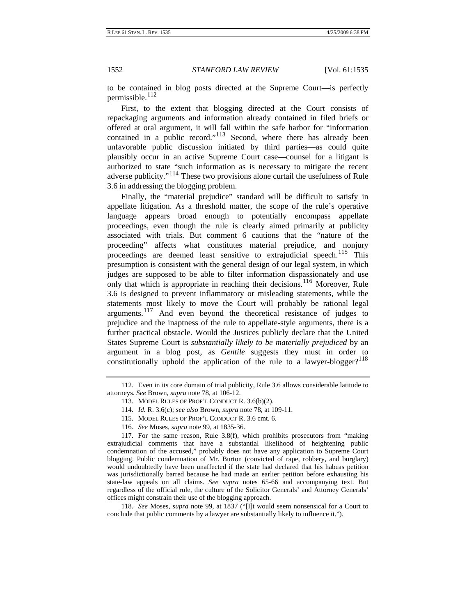to be contained in blog posts directed at the Supreme Court—is perfectly permissible. $112$ 

First, to the extent that blogging directed at the Court consists of repackaging arguments and information already contained in filed briefs or offered at oral argument, it will fall within the safe harbor for "information contained in a public record."<sup>[113](#page-18-1)</sup> Second, where there has already been unfavorable public discussion initiated by third parties—as could quite plausibly occur in an active Supreme Court case—counsel for a litigant is authorized to state "such information as is necessary to mitigate the recent adverse publicity."[114](#page-18-2) These two provisions alone curtail the usefulness of Rule 3.6 in addressing the blogging problem.

Finally, the "material prejudice" standard will be difficult to satisfy in appellate litigation. As a threshold matter, the scope of the rule's operative language appears broad enough to potentially encompass appellate proceedings, even though the rule is clearly aimed primarily at publicity associated with trials. But comment 6 cautions that the "nature of the proceeding" affects what constitutes material prejudice, and nonjury proceedings are deemed least sensitive to extrajudicial speech.<sup>[115](#page-18-3)</sup> This presumption is consistent with the general design of our legal system, in which judges are supposed to be able to filter information dispassionately and use only that which is appropriate in reaching their decisions.<sup>[116](#page-18-4)</sup> Moreover, Rule 3.6 is designed to prevent inflammatory or misleading statements, while the statements most likely to move the Court will probably be rational legal arguments.[117](#page-18-5) And even beyond the theoretical resistance of judges to prejudice and the inaptness of the rule to appellate-style arguments, there is a further practical obstacle. Would the Justices publicly declare that the United States Supreme Court is *substantially likely to be materially prejudiced* by an argument in a blog post, as *Gentile* suggests they must in order to constitutionally uphold the application of the rule to a lawyer-blogger?<sup>[118](#page-18-6)</sup>

- 114. *Id.* R. 3.6(c); *see also* Brown, *supra* note 78, at 109-11.
- 115. MODEL RULES OF PROF'L CONDUCT R. 3.6 cmt. 6.
- 116. *See* Moses, *supra* note 99, at 1835-36.

<span id="page-18-5"></span><span id="page-18-4"></span><span id="page-18-3"></span><span id="page-18-2"></span>117. For the same reason, Rule 3.8(f), which prohibits prosecutors from "making extrajudicial comments that have a substantial likelihood of heightening public condemnation of the accused," probably does not have any application to Supreme Court blogging. Public condemnation of Mr. Burton (convicted of rape, robbery, and burglary) would undoubtedly have been unaffected if the state had declared that his habeas petition was jurisdictionally barred because he had made an earlier petition before exhausting his state-law appeals on all claims. *See supra* notes 65-66 and accompanying text. But regardless of the official rule, the culture of the Solicitor Generals' and Attorney Generals' offices might constrain their use of the blogging approach.

<span id="page-18-6"></span>118. *See* Moses, *supra* note 99, at 1837 ("[I]t would seem nonsensical for a Court to conclude that public comments by a lawyer are substantially likely to influence it.").

<span id="page-18-1"></span><span id="page-18-0"></span><sup>112.</sup> Even in its core domain of trial publicity, Rule 3.6 allows considerable latitude to attorneys. *See* Brown, *supra* note 78, at 106-12.

<sup>113.</sup> MODEL RULES OF PROF'L CONDUCT R. 3.6(b)(2).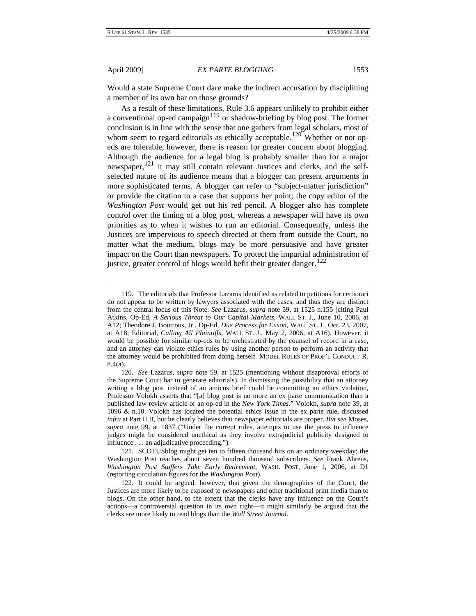Would a state Supreme Court dare make the indirect accusation by disciplining a member of its own bar on those grounds?

As a result of these limitations, Rule 3.6 appears unlikely to prohibit either a conventional op-ed campaign $119$  or shadow-briefing by blog post. The former conclusion is in line with the sense that one gathers from legal scholars, most of whom seem to regard editorials as ethically acceptable.<sup>[120](#page-19-1)</sup> Whether or not opeds are tolerable, however, there is reason for greater concern about blogging. Although the audience for a legal blog is probably smaller than for a major newspaper,<sup>[121](#page-19-2)</sup> it may still contain relevant Justices and clerks, and the selfselected nature of its audience means that a blogger can present arguments in more sophisticated terms. A blogger can refer to "subject-matter jurisdiction" or provide the citation to a case that supports her point; the copy editor of the *Washington Post* would get out his red pencil. A blogger also has complete control over the timing of a blog post, whereas a newspaper will have its own priorities as to when it wishes to run an editorial. Consequently, unless the Justices are impervious to speech directed at them from outside the Court, no matter what the medium, blogs may be more persuasive and have greater impact on the Court than newspapers. To protect the impartial administration of justice, greater control of blogs would befit their greater danger.<sup>[122](#page-19-3)</sup>

<span id="page-19-0"></span><sup>119.</sup> The editorials that Professor Lazarus identified as related to petitions for certiorari do not appear to be written by lawyers associated with the cases, and thus they are distinct from the central focus of this Note. *See* Lazarus, *supra* note 59, at 1525 n.155 (citing Paul Atkins, Op-Ed, *A Serious Threat to Our Capital Markets*, WALL ST. J., June 10, 2006, at A12; Theodore J. Boutrous, Jr., Op-Ed, *Due Process for Exxon*, WALL ST. J., Oct. 23, 2007, at A18; Editorial, *Calling All Plaintiffs*, WALL ST. J., May 2, 2006, at A16). However, it would be possible for similar op-eds to be orchestrated by the counsel of record in a case, and an attorney can violate ethics rules by using another person to perform an activity that the attorney would be prohibited from doing herself. MODEL RULES OF PROF'L CONDUCT R. 8.4(a).

<span id="page-19-1"></span><sup>120.</sup> *See* Lazarus, *supra* note 59, at 1525 (mentioning without disapproval efforts of the Supreme Court bar to generate editorials). In dismissing the possibility that an attorney writing a blog post instead of an amicus brief could be committing an ethics violation, Professor Volokh asserts that "[a] blog post is no more an ex parte communication than a published law review article or an op-ed in the *New York Times*." Volokh, *supra* note 39, at 1096 & n.10. Volokh has located the potential ethics issue in the ex parte rule, discussed *infra* at Part II.B, but he clearly believes that newspaper editorials are proper. *But see* Moses, *supra* note 99, at 1837 ("Under the current rules, attempts to use the press to influence judges might be considered unethical as they involve extrajudicial publicity designed to influence . . . an adjudicative proceeding.").

<span id="page-19-2"></span><sup>121.</sup> SCOTUSblog might get ten to fifteen thousand hits on an ordinary weekday; the Washington Post reaches about seven hundred thousand subscribers. *See* Frank Ahrens, *Washington Post Staffers Take Early Retirement*, WASH. POST, June 1, 2006, at D1 (reporting circulation figures for the *Washington Post*).

<span id="page-19-3"></span><sup>122.</sup> It could be argued, however, that given the demographics of the Court, the Justices are more likely to be exposed to newspapers and other traditional print media than to blogs. On the other hand, to the extent that the clerks have any influence on the Court's actions—a controversial question in its own right—it might similarly be argued that the clerks are more likely to read blogs than the *Wall Street Journal*.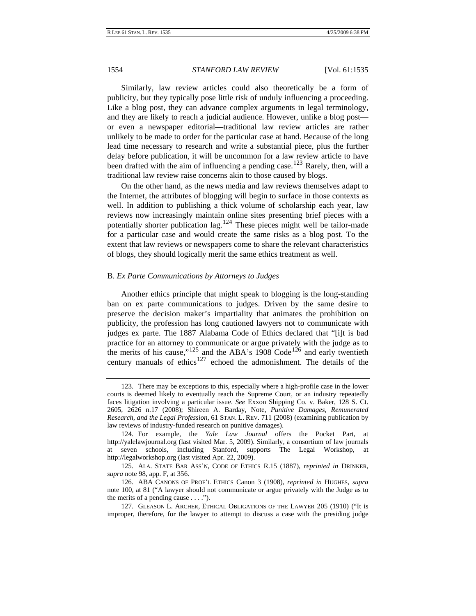<span id="page-20-0"></span>Similarly, law review articles could also theoretically be a form of publicity, but they typically pose little risk of unduly influencing a proceeding. Like a blog post, they can advance complex arguments in legal terminology, and they are likely to reach a judicial audience. However, unlike a blog post or even a newspaper editorial—traditional law review articles are rather unlikely to be made to order for the particular case at hand. Because of the long lead time necessary to research and write a substantial piece, plus the further delay before publication, it will be uncommon for a law review article to have been drafted with the aim of influencing a pending case.<sup>[123](#page-20-1)</sup> Rarely, then, will a traditional law review raise concerns akin to those caused by blogs.

On the other hand, as the news media and law reviews themselves adapt to the Internet, the attributes of blogging will begin to surface in those contexts as well. In addition to publishing a thick volume of scholarship each year, law reviews now increasingly maintain online sites presenting brief pieces with a potentially shorter publication  $\log$ ,  $124$  These pieces might well be tailor-made for a particular case and would create the same risks as a blog post. To the extent that law reviews or newspapers come to share the relevant characteristics of blogs, they should logically merit the same ethics treatment as well.

#### B. *Ex Parte Communications by Attorneys to Judges*

Another ethics principle that might speak to blogging is the long-standing ban on ex parte communications to judges. Driven by the same desire to preserve the decision maker's impartiality that animates the prohibition on publicity, the profession has long cautioned lawyers not to communicate with judges ex parte. The 1887 Alabama Code of Ethics declared that "[i]t is bad practice for an attorney to communicate or argue privately with the judge as to the merits of his cause," $125$  and the ABA's 1908 Code<sup>[126](#page-20-4)</sup> and early twentieth century manuals of ethics<sup>[127](#page-20-5)</sup> echoed the admonishment. The details of the

<span id="page-20-1"></span><sup>123.</sup> There may be exceptions to this, especially where a high-profile case in the lower courts is deemed likely to eventually reach the Supreme Court, or an industry repeatedly faces litigation involving a particular issue. *See* Exxon Shipping Co. v. Baker, 128 S. Ct. 2605, 2626 n.17 (2008); Shireen A. Barday, Note, *Punitive Damages, Remunerated Research, and the Legal Profession*, 61 STAN. L. REV. 711 (2008) (examining publication by law reviews of industry-funded research on punitive damages).

<span id="page-20-2"></span><sup>124.</sup> For example, the *Yale Law Journal* offers the Pocket Part, at http://yalelawjournal.org (last visited Mar. 5, 2009). Similarly, a consortium of law journals seven schools, including Stanford, supports The Legal Workshop, at http://legalworkshop.org (last visited Apr. 22, 2009).

<span id="page-20-3"></span><sup>125.</sup> ALA. STATE BAR ASS'N, CODE OF ETHICS R.15 (1887), *reprinted in* DRINKER, *supra* note 98, app. F, at 356.

<span id="page-20-4"></span><sup>126.</sup> ABA CANONS OF PROF'L ETHICS Canon 3 (1908), *reprinted in* HUGHES, *supra* note 100, at 81 ("A lawyer should not communicate or argue privately with the Judge as to the merits of a pending cause  $\dots$ .").

<span id="page-20-5"></span><sup>127.</sup> GLEASON L. ARCHER, ETHICAL OBLIGATIONS OF THE LAWYER 205 (1910) ("It is improper, therefore, for the lawyer to attempt to discuss a case with the presiding judge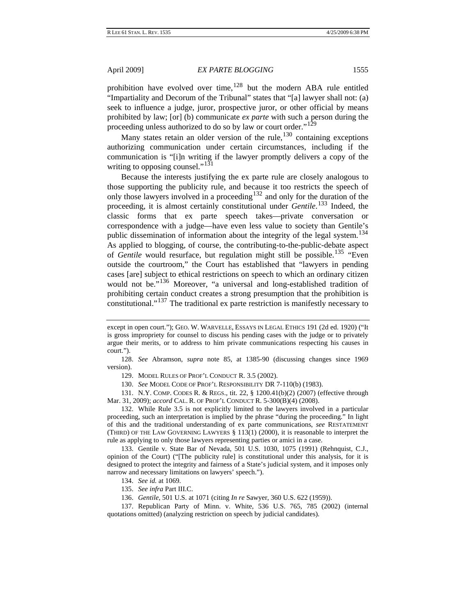prohibition have evolved over time,  $128$  but the modern ABA rule entitled "Impartiality and Decorum of the Tribunal" states that "[a] lawyer shall not: (a) seek to influence a judge, juror, prospective juror, or other official by means prohibited by law; [or] (b) communicate *ex parte* with such a person during the proceeding unless authorized to do so by law or court order."<sup>[129](#page-21-1)</sup>

Many states retain an older version of the rule,  $130$  containing exceptions authorizing communication under certain circumstances, including if the communication is "[i]n writing if the lawyer promptly delivers a copy of the writing to opposing counsel." $131$ 

Because the interests justifying the ex parte rule are closely analogous to those supporting the publicity rule, and because it too restricts the speech of only those lawyers involved in a proceeding<sup>[132](#page-21-4)</sup> and only for the duration of the proceeding, it is almost certainly constitutional under *Gentile*. [133](#page-21-5) Indeed, the classic forms that ex parte speech takes—private conversation or correspondence with a judge—have even less value to society than Gentile's public dissemination of information about the integrity of the legal system.<sup>[134](#page-21-6)</sup> As applied to blogging, of course, the contributing-to-the-public-debate aspect of *Gentile* would resurface, but regulation might still be possible.<sup>[135](#page-21-7)</sup> "Even outside the courtroom," the Court has established that "lawyers in pending cases [are] subject to ethical restrictions on speech to which an ordinary citizen would not be."<sup>[136](#page-21-8)</sup> Moreover, "a universal and long-established tradition of prohibiting certain conduct creates a strong presumption that the prohibition is constitutional."[137](#page-21-9) The traditional ex parte restriction is manifestly necessary to

130. *See* MODEL CODE OF PROF'L RESPONSIBILITY DR 7-110(b) (1983).

<span id="page-21-3"></span><span id="page-21-2"></span>131. N.Y. COMP. CODES R. & REGS., tit. 22, § 1200.41(b)(2) (2007) (effective through Mar. 31, 2009); *accord* CAL. R. OF PROF'L CONDUCT R. 5-300(B)(4) (2008).

<span id="page-21-4"></span>132. While Rule 3.5 is not explicitly limited to the lawyers involved in a particular proceeding, such an interpretation is implied by the phrase "during the proceeding." In light of this and the traditional understanding of ex parte communications, *see* RESTATEMENT (THIRD) OF THE LAW GOVERNING LAWYERS  $\S$  113(1) (2000), it is reasonable to interpret the rule as applying to only those lawyers representing parties or amici in a case.

<span id="page-21-5"></span>133. Gentile v. State Bar of Nevada, 501 U.S. 1030, 1075 (1991) (Rehnquist, C.J., opinion of the Court) ("[The publicity rule] is constitutional under this analysis, for it is designed to protect the integrity and fairness of a State's judicial system, and it imposes only narrow and necessary limitations on lawyers' speech.").

134. *See id.* at 1069.

135. *See infra* Part III.C.

136. *Gentile*, 501 U.S. at 1071 (citing *In re* Sawyer, 360 U.S. 622 (1959)).

<span id="page-21-9"></span><span id="page-21-8"></span><span id="page-21-7"></span><span id="page-21-6"></span>137. Republican Party of Minn. v. White, 536 U.S. 765, 785 (2002) (internal quotations omitted) (analyzing restriction on speech by judicial candidates).

except in open court."); GEO. W. WARVELLE, ESSAYS IN LEGAL ETHICS 191 (2d ed. 1920) ("It is gross impropriety for counsel to discuss his pending cases with the judge or to privately argue their merits, or to address to him private communications respecting his causes in court.").

<span id="page-21-1"></span><span id="page-21-0"></span><sup>128.</sup> *See* Abramson, *supra* note 85, at 1385-90 (discussing changes since 1969 version).

<sup>129.</sup> MODEL RULES OF PROF'L CONDUCT R. 3.5 (2002).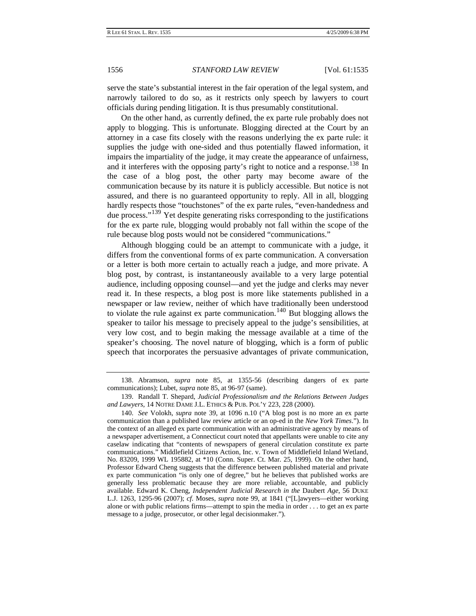serve the state's substantial interest in the fair operation of the legal system, and narrowly tailored to do so, as it restricts only speech by lawyers to court officials during pending litigation. It is thus presumably constitutional.

On the other hand, as currently defined, the ex parte rule probably does not apply to blogging. This is unfortunate. Blogging directed at the Court by an attorney in a case fits closely with the reasons underlying the ex parte rule: it supplies the judge with one-sided and thus potentially flawed information, it impairs the impartiality of the judge, it may create the appearance of unfairness, and it interferes with the opposing party's right to notice and a response.<sup>[138](#page-22-0)</sup> In the case of a blog post, the other party may become aware of the communication because by its nature it is publicly accessible. But notice is not assured, and there is no guaranteed opportunity to reply. All in all, blogging hardly respects those "touchstones" of the ex parte rules, "even-handedness and due process."<sup>[139](#page-22-1)</sup> Yet despite generating risks corresponding to the justifications for the ex parte rule, blogging would probably not fall within the scope of the rule because blog posts would not be considered "communications."

Although blogging could be an attempt to communicate with a judge, it differs from the conventional forms of ex parte communication. A conversation or a letter is both more certain to actually reach a judge, and more private. A blog post, by contrast, is instantaneously available to a very large potential audience, including opposing counsel—and yet the judge and clerks may never read it. In these respects, a blog post is more like statements published in a newspaper or law review, neither of which have traditionally been understood to violate the rule against ex parte communication.<sup>[140](#page-22-2)</sup> But blogging allows the speaker to tailor his message to precisely appeal to the judge's sensibilities, at very low cost, and to begin making the message available at a time of the speaker's choosing. The novel nature of blogging, which is a form of public speech that incorporates the persuasive advantages of private communication,

<span id="page-22-0"></span><sup>138.</sup> Abramson, *supra* note 85, at 1355-56 (describing dangers of ex parte communications); Lubet, *supra* note 85, at 96-97 (same).

<span id="page-22-1"></span><sup>139.</sup> Randall T. Shepard, *Judicial Professionalism and the Relations Between Judges and Lawyers*, 14 NOTRE DAME J.L. ETHICS & PUB. POL'Y 223, 228 (2000).

<span id="page-22-2"></span><sup>140.</sup> *See* Volokh, *supra* note 39, at 1096 n.10 ("A blog post is no more an ex parte communication than a published law review article or an op-ed in the *New York Times*."). In the context of an alleged ex parte communication with an administrative agency by means of a newspaper advertisement, a Connecticut court noted that appellants were unable to cite any caselaw indicating that "contents of newspapers of general circulation constitute ex parte communications." Middlefield Citizens Action, Inc. v. Town of Middlefield Inland Wetland, No. 83209, 1999 WL 195882, at \*10 (Conn. Super. Ct. Mar. 25, 1999). On the other hand, Professor Edward Cheng suggests that the difference between published material and private ex parte communication "is only one of degree," but he believes that published works are generally less problematic because they are more reliable, accountable, and publicly available. Edward K. Cheng, *Independent Judicial Research in the* Daubert *Age*, 56 DUKE L.J. 1263, 1295-96 (2007); *cf.* Moses, *supra* note 99, at 1841 ("[L]awyers—either working alone or with public relations firms—attempt to spin the media in order . . . to get an ex parte message to a judge, prosecutor, or other legal decisionmaker.").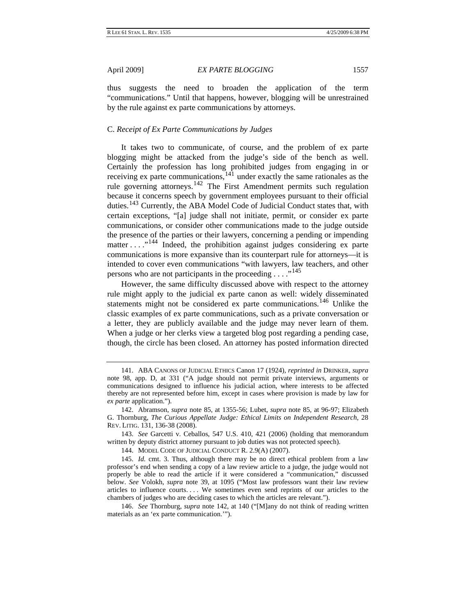<span id="page-23-0"></span>thus suggests the need to broaden the application of the term "communications." Until that happens, however, blogging will be unrestrained by the rule against ex parte communications by attorneys.

#### C. *Receipt of Ex Parte Communications by Judges*

It takes two to communicate, of course, and the problem of ex parte blogging might be attacked from the judge's side of the bench as well. Certainly the profession has long prohibited judges from engaging in or receiving ex parte communications,  $14\overline{1}$  under exactly the same rationales as the rule governing attorneys.[142](#page-23-2) The First Amendment permits such regulation because it concerns speech by government employees pursuant to their official duties.<sup>[143](#page-23-3)</sup> Currently, the ABA Model Code of Judicial Conduct states that, with certain exceptions, "[a] judge shall not initiate, permit, or consider ex parte communications, or consider other communications made to the judge outside the presence of the parties or their lawyers, concerning a pending or impending matter . . . ."[144](#page-23-4) Indeed, the prohibition against judges considering ex parte communications is more expansive than its counterpart rule for attorneys—it is intended to cover even communications "with lawyers, law teachers, and other persons who are not participants in the proceeding  $\dots$ <sup>[145](#page-23-5)</sup>

However, the same difficulty discussed above with respect to the attorney rule might apply to the judicial ex parte canon as well: widely disseminated statements might not be considered ex parte communications.<sup>[146](#page-23-6)</sup> Unlike the classic examples of ex parte communications, such as a private conversation or a letter, they are publicly available and the judge may never learn of them. When a judge or her clerks view a targeted blog post regarding a pending case, though, the circle has been closed. An attorney has posted information directed

<span id="page-23-1"></span><sup>141.</sup> ABA CANONS OF JUDICIAL ETHICS Canon 17 (1924), *reprinted in* DRINKER, *supra* note 98, app. D, at 331 ("A judge should not permit private interviews, arguments or communications designed to influence his judicial action, where interests to be affected thereby are not represented before him, except in cases where provision is made by law for *ex parte* application.").

<span id="page-23-2"></span><sup>142.</sup> Abramson, *supra* note 85, at 1355-56; Lubet, *supra* note 85, at 96-97; Elizabeth G. Thornburg, *The Curious Appellate Judge: Ethical Limits on Independent Research*, 28 REV. LITIG. 131, 136-38 (2008).

<span id="page-23-3"></span><sup>143.</sup> *See* Garcetti v. Ceballos, 547 U.S. 410, 421 (2006) (holding that memorandum written by deputy district attorney pursuant to job duties was not protected speech).

<sup>144.</sup> MODEL CODE OF JUDICIAL CONDUCT R. 2.9(A) (2007).

<span id="page-23-5"></span><span id="page-23-4"></span><sup>145.</sup> *Id.* cmt. 3. Thus, although there may be no direct ethical problem from a law professor's end when sending a copy of a law review article to a judge, the judge would not properly be able to read the article if it were considered a "communication," discussed below. *See* Volokh, *supra* note 39, at 1095 ("Most law professors want their law review articles to influence courts. . . . We sometimes even send reprints of our articles to the chambers of judges who are deciding cases to which the articles are relevant.").

<span id="page-23-6"></span><sup>146.</sup> *See* Thornburg, *supra* note 142, at 140 ("[M]any do not think of reading written materials as an 'ex parte communication.'").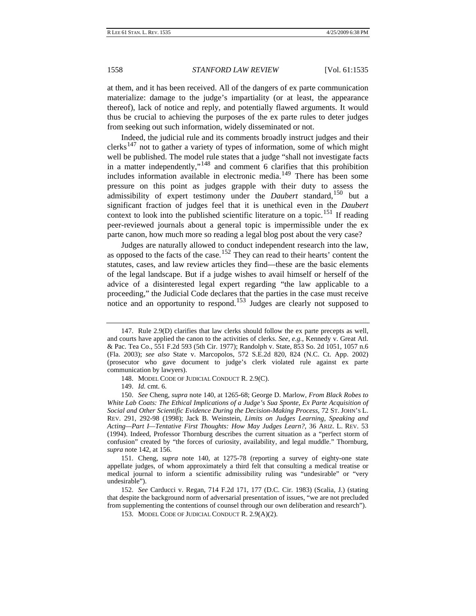at them, and it has been received. All of the dangers of ex parte communication materialize: damage to the judge's impartiality (or at least, the appearance thereof), lack of notice and reply, and potentially flawed arguments. It would thus be crucial to achieving the purposes of the ex parte rules to deter judges from seeking out such information, widely disseminated or not.

Indeed, the judicial rule and its comments broadly instruct judges and their  $\text{clerks}^{147}$  $\text{clerks}^{147}$  $\text{clerks}^{147}$  not to gather a variety of types of information, some of which might well be published. The model rule states that a judge "shall not investigate facts in a matter independently,"[148](#page-24-1) and comment 6 clarifies that this prohibition includes information available in electronic media.[149](#page-24-2) There has been some pressure on this point as judges grapple with their duty to assess the admissibility of expert testimony under the *Daubert* standard,<sup>[150](#page-24-3)</sup> but a significant fraction of judges feel that it is unethical even in the *Daubert*  context to look into the published scientific literature on a topic.<sup>[151](#page-24-4)</sup> If reading peer-reviewed journals about a general topic is impermissible under the ex parte canon, how much more so reading a legal blog post about the very case?

Judges are naturally allowed to conduct independent research into the law, as opposed to the facts of the case.<sup>[152](#page-24-5)</sup> They can read to their hearts' content the statutes, cases, and law review articles they find—these are the basic elements of the legal landscape. But if a judge wishes to avail himself or herself of the advice of a disinterested legal expert regarding "the law applicable to a proceeding," the Judicial Code declares that the parties in the case must receive notice and an opportunity to respond.<sup>[153](#page-24-6)</sup> Judges are clearly not supposed to

<span id="page-24-0"></span><sup>147.</sup> Rule 2.9(D) clarifies that law clerks should follow the ex parte precepts as well, and courts have applied the canon to the activities of clerks. *See, e.g.*, Kennedy v. Great Atl. & Pac. Tea Co., 551 F.2d 593 (5th Cir. 1977); Randolph v. State, 853 So. 2d 1051, 1057 n.6 (Fla. 2003); *see also* State v. Marcopolos, 572 S.E.2d 820, 824 (N.C. Ct. App. 2002) (prosecutor who gave document to judge's clerk violated rule against ex parte communication by lawyers).

<sup>148.</sup> MODEL CODE OF JUDICIAL CONDUCT R. 2.9(C).

<sup>149.</sup> *Id.* cmt. 6.

<span id="page-24-3"></span><span id="page-24-2"></span><span id="page-24-1"></span><sup>150.</sup> *See* Cheng, *supra* note 140, at 1265-68; George D. Marlow, *From Black Robes to White Lab Coats: The Ethical Implications of a Judge's Sua Sponte, Ex Parte Acquisition of Social and Other Scientific Evidence During the Decision-Making Process*, 72 ST. JOHN'S L. REV. 291, 292-98 (1998); Jack B. Weinstein, *Limits on Judges Learning, Speaking and Acting—Part I—Tentative First Thoughts: How May Judges Learn?*, 36 ARIZ. L. REV. 53 (1994). Indeed, Professor Thornburg describes the current situation as a "perfect storm of confusion" created by "the forces of curiosity, availability, and legal muddle." Thornburg, *supra* note 142, at 156.

<span id="page-24-4"></span><sup>151.</sup> Cheng, *supra* note 140, at 1275-78 (reporting a survey of eighty-one state appellate judges, of whom approximately a third felt that consulting a medical treatise or medical journal to inform a scientific admissibility ruling was "undesirable" or "very undesirable").

<span id="page-24-6"></span><span id="page-24-5"></span><sup>152.</sup> *See* Carducci v. Regan, 714 F.2d 171, 177 (D.C. Cir. 1983) (Scalia, J.) (stating that despite the background norm of adversarial presentation of issues, "we are not precluded from supplementing the contentions of counsel through our own deliberation and research").

<sup>153.</sup> MODEL CODE OF JUDICIAL CONDUCT R. 2.9(A)(2).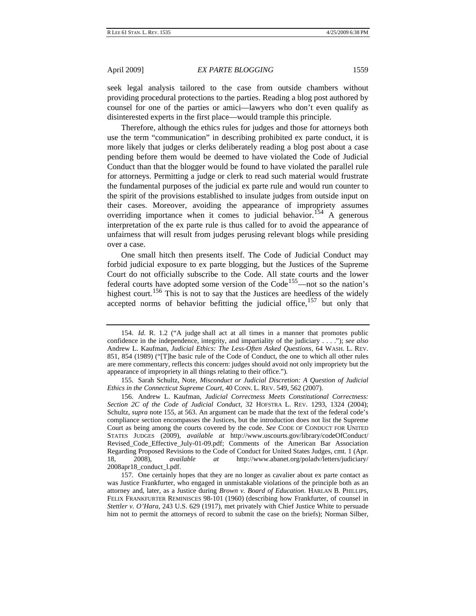seek legal analysis tailored to the case from outside chambers without providing procedural protections to the parties. Reading a blog post authored by counsel for one of the parties or amici—lawyers who don't even qualify as disinterested experts in the first place—would trample this principle.

Therefore, although the ethics rules for judges and those for attorneys both use the term "communication" in describing prohibited ex parte conduct, it is more likely that judges or clerks deliberately reading a blog post about a case pending before them would be deemed to have violated the Code of Judicial Conduct than that the blogger would be found to have violated the parallel rule for attorneys. Permitting a judge or clerk to read such material would frustrate the fundamental purposes of the judicial ex parte rule and would run counter to the spirit of the provisions established to insulate judges from outside input on their cases. Moreover, avoiding the appearance of impropriety assumes overriding importance when it comes to judicial behavior.<sup>[154](#page-25-0)</sup> A generous interpretation of the ex parte rule is thus called for to avoid the appearance of unfairness that will result from judges perusing relevant blogs while presiding over a case.

One small hitch then presents itself. The Code of Judicial Conduct may forbid judicial exposure to ex parte blogging, but the Justices of the Supreme Court do not officially subscribe to the Code. All state courts and the lower federal courts have adopted some version of the Code<sup>[155](#page-25-1)</sup>—not so the nation's highest court.<sup>156</sup> This is not to say that the Justices are heedless of the widely accepted norms of behavior befitting the judicial office, $157$  but only that

<span id="page-25-0"></span><sup>154.</sup> *Id.* R. 1.2 ("A judge shall act at all times in a manner that promotes public confidence in the independence, integrity, and impartiality of the judiciary . . . ."); *see also* Andrew L. Kaufman, *Judicial Ethics: The Less-Often Asked Questions*, 64 WASH. L. REV. 851, 854 (1989) ("[T]he basic rule of the Code of Conduct, the one to which all other rules are mere commentary, reflects this concern: judges should avoid not only impropriety but the appearance of impropriety in all things relating to their office.").

<span id="page-25-1"></span><sup>155.</sup> Sarah Schultz, Note, *Misconduct or Judicial Discretion: A Question of Judicial Ethics in the Connecticut Supreme Court*, 40 CONN. L. REV. 549, 562 (2007).

<span id="page-25-2"></span><sup>156.</sup> Andrew L. Kaufman, *Judicial Correctness Meets Constitutional Correctness: Section 2C of the Code of Judicial Conduct*, 32 HOFSTRA L. REV. 1293, 1324 (2004); Schultz, *supra* note 155, at 563. An argument can be made that the text of the federal code's compliance section encompasses the Justices, but the introduction does not list the Supreme Court as being among the courts covered by the code. *See* CODE OF CONDUCT FOR UNITED STATES JUDGES (2009), *available at* http://www.uscourts.gov/library/codeOfConduct/ Revised\_Code\_Effective\_July-01-09.pdf; Comments of the American Bar Association Regarding Proposed Revisions to the Code of Conduct for United States Judges, cmt. 1 (Apr. 18, 2008), *available at* http://www.abanet.org/poladv/letters/judiciary/ 2008apr18\_conduct\_l.pdf.

<span id="page-25-3"></span><sup>157.</sup> One certainly hopes that they are no longer as cavalier about ex parte contact as was Justice Frankfurter, who engaged in unmistakable violations of the principle both as an attorney and, later, as a Justice during *Brown v. Board of Education*. HARLAN B. PHILLIPS, FELIX FRANKFURTER REMINISCES 98-101 (1960) (describing how Frankfurter, of counsel in *Stettler v. O'Hara*, 243 U.S. 629 (1917), met privately with Chief Justice White to persuade him not to permit the attorneys of record to submit the case on the briefs); Norman Silber,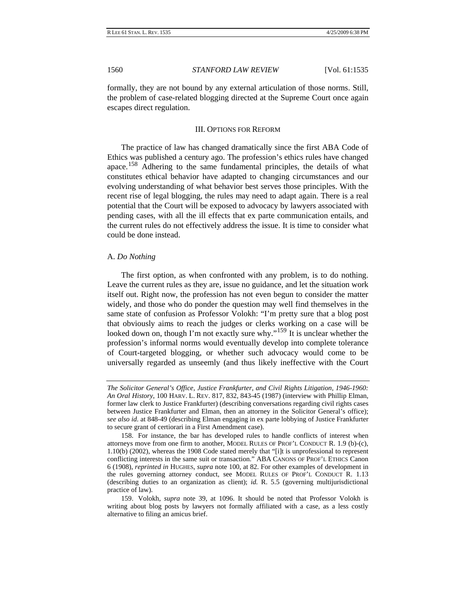<span id="page-26-0"></span>formally, they are not bound by any external articulation of those norms. Still, the problem of case-related blogging directed at the Supreme Court once again escapes direct regulation.

#### III. OPTIONS FOR REFORM

The practice of law has changed dramatically since the first ABA Code of Ethics was published a century ago. The profession's ethics rules have changed apace.[158](#page-26-1) Adhering to the same fundamental principles, the details of what constitutes ethical behavior have adapted to changing circumstances and our evolving understanding of what behavior best serves those principles. With the recent rise of legal blogging, the rules may need to adapt again. There is a real potential that the Court will be exposed to advocacy by lawyers associated with pending cases, with all the ill effects that ex parte communication entails, and the current rules do not effectively address the issue. It is time to consider what could be done instead.

#### A. *Do Nothing*

The first option, as when confronted with any problem, is to do nothing. Leave the current rules as they are, issue no guidance, and let the situation work itself out. Right now, the profession has not even begun to consider the matter widely, and those who do ponder the question may well find themselves in the same state of confusion as Professor Volokh: "I'm pretty sure that a blog post that obviously aims to reach the judges or clerks working on a case will be looked down on, though I'm not exactly sure why."<sup>[159](#page-26-2)</sup> It is unclear whether the profession's informal norms would eventually develop into complete tolerance of Court-targeted blogging, or whether such advocacy would come to be universally regarded as unseemly (and thus likely ineffective with the Court

*The Solicitor General's Office, Justice Frankfurter, and Civil Rights Litigation, 1946-1960: An Oral History*, 100 HARV. L. REV. 817, 832, 843-45 (1987) (interview with Phillip Elman, former law clerk to Justice Frankfurter) (describing conversations regarding civil rights cases between Justice Frankfurter and Elman, then an attorney in the Solicitor General's office); *see also id.* at 848-49 (describing Elman engaging in ex parte lobbying of Justice Frankfurter to secure grant of certiorari in a First Amendment case).

<span id="page-26-1"></span><sup>158.</sup> For instance, the bar has developed rules to handle conflicts of interest when attorneys move from one firm to another, MODEL RULES OF PROF'L CONDUCT R. 1.9 (b)-(c), 1.10(b) (2002), whereas the 1908 Code stated merely that "[i]t is unprofessional to represent conflicting interests in the same suit or transaction." ABA CANONS OF PROF'L ETHICS Canon 6 (1908), *reprinted in* HUGHES, *supra* note 100, at 82. For other examples of development in the rules governing attorney conduct, see MODEL RULES OF PROF'L CONDUCT R. 1.13 (describing duties to an organization as client); *id.* R. 5.5 (governing multijurisdictional practice of law).

<span id="page-26-2"></span><sup>159.</sup> Volokh, *supra* note 39, at 1096. It should be noted that Professor Volokh is writing about blog posts by lawyers not formally affiliated with a case, as a less costly alternative to filing an amicus brief.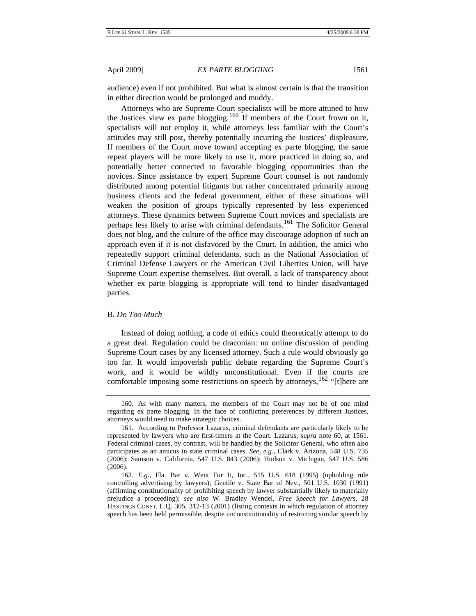<span id="page-27-0"></span>audience) even if not prohibited. But what is almost certain is that the transition in either direction would be prolonged and muddy.

Attorneys who are Supreme Court specialists will be more attuned to how the Justices view ex parte blogging.<sup>[160](#page-27-1)</sup> If members of the Court frown on it, specialists will not employ it, while attorneys less familiar with the Court's attitudes may still post, thereby potentially incurring the Justices' displeasure. If members of the Court move toward accepting ex parte blogging, the same repeat players will be more likely to use it, more practiced in doing so, and potentially better connected to favorable blogging opportunities than the novices. Since assistance by expert Supreme Court counsel is not randomly distributed among potential litigants but rather concentrated primarily among business clients and the federal government, either of these situations will weaken the position of groups typically represented by less experienced attorneys. These dynamics between Supreme Court novices and specialists are perhaps less likely to arise with criminal defendants.[161](#page-27-2) The Solicitor General does not blog, and the culture of the office may discourage adoption of such an approach even if it is not disfavored by the Court. In addition, the amici who repeatedly support criminal defendants, such as the National Association of Criminal Defense Lawyers or the American Civil Liberties Union, will have Supreme Court expertise themselves. But overall, a lack of transparency about whether ex parte blogging is appropriate will tend to hinder disadvantaged parties.

#### B. *Do Too Much*

Instead of doing nothing, a code of ethics could theoretically attempt to do a great deal. Regulation could be draconian: no online discussion of pending Supreme Court cases by any licensed attorney. Such a rule would obviously go too far. It would impoverish public debate regarding the Supreme Court's work, and it would be wildly unconstitutional. Even if the courts are comfortable imposing some restrictions on speech by attorneys,  $162$  "[t]here are

<span id="page-27-1"></span><sup>160.</sup> As with many matters, the members of the Court may not be of one mind regarding ex parte blogging. In the face of conflicting preferences by different Justices, attorneys would need to make strategic choices.

<span id="page-27-2"></span><sup>161.</sup> According to Professor Lazarus, criminal defendants are particularly likely to be represented by lawyers who are first-timers at the Court. Lazarus, *supra* note 60, at 1561. Federal criminal cases, by contrast, will be handled by the Solicitor General, who often also participates as an amicus in state criminal cases. *See, e.g.*, Clark v. Arizona, 548 U.S. 735 (2006); Samson v. California, 547 U.S. 843 (2006); Hudson v. Michigan, 547 U.S. 586 (2006).

<span id="page-27-3"></span><sup>162.</sup> *E.g.*, Fla. Bar v. Went For It, Inc., 515 U.S. 618 (1995) (upholding rule controlling advertising by lawyers); Gentile v. State Bar of Nev., 501 U.S. 1030 (1991) (affirming constitutionality of prohibiting speech by lawyer substantially likely to materially prejudice a proceeding); *see also* W. Bradley Wendel, *Free Speech for Lawyers*, 28 HASTINGS CONST. L.Q. 305, 312-13 (2001) (listing contexts in which regulation of attorney speech has been held permissible, despite unconstitutionality of restricting similar speech by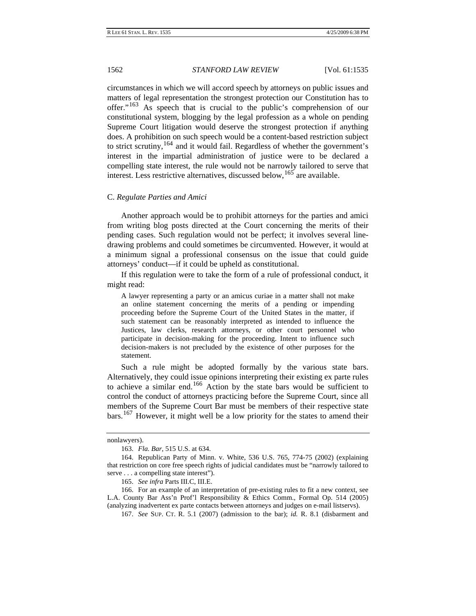<span id="page-28-0"></span>circumstances in which we will accord speech by attorneys on public issues and matters of legal representation the strongest protection our Constitution has to offer."[163](#page-28-1) As speech that is crucial to the public's comprehension of our constitutional system, blogging by the legal profession as a whole on pending Supreme Court litigation would deserve the strongest protection if anything does. A prohibition on such speech would be a content-based restriction subject to strict scrutiny,  $164$  and it would fail. Regardless of whether the government's interest in the impartial administration of justice were to be declared a compelling state interest, the rule would not be narrowly tailored to serve that interest. Less restrictive alternatives, discussed below,  $^{165}$  $^{165}$  $^{165}$  are available.

#### C. *Regulate Parties and Amici*

Another approach would be to prohibit attorneys for the parties and amici from writing blog posts directed at the Court concerning the merits of their pending cases. Such regulation would not be perfect; it involves several linedrawing problems and could sometimes be circumvented. However, it would at a minimum signal a professional consensus on the issue that could guide attorneys' conduct—if it could be upheld as constitutional.

If this regulation were to take the form of a rule of professional conduct, it might read:

A lawyer representing a party or an amicus curiae in a matter shall not make an online statement concerning the merits of a pending or impending proceeding before the Supreme Court of the United States in the matter, if such statement can be reasonably interpreted as intended to influence the Justices, law clerks, research attorneys, or other court personnel who participate in decision-making for the proceeding. Intent to influence such decision-makers is not precluded by the existence of other purposes for the statement.

Such a rule might be adopted formally by the various state bars. Alternatively, they could issue opinions interpreting their existing ex parte rules to achieve a similar end.[166](#page-28-4) Action by the state bars would be sufficient to control the conduct of attorneys practicing before the Supreme Court, since all members of the Supreme Court Bar must be members of their respective state bars.[167](#page-28-5) However, it might well be a low priority for the states to amend their

nonlawyers).

<sup>163.</sup> *Fla. Bar*, 515 U.S. at 634.

<span id="page-28-2"></span><span id="page-28-1"></span><sup>164.</sup> Republican Party of Minn. v. White, 536 U.S. 765, 774-75 (2002) (explaining that restriction on core free speech rights of judicial candidates must be "narrowly tailored to serve . . . a compelling state interest").

<sup>165.</sup> *See infra* Parts III.C, III.E.

<span id="page-28-5"></span><span id="page-28-4"></span><span id="page-28-3"></span><sup>166.</sup> For an example of an interpretation of pre-existing rules to fit a new context, see L.A. County Bar Ass'n Prof'l Responsibility & Ethics Comm., Formal Op. 514 (2005) (analyzing inadvertent ex parte contacts between attorneys and judges on e-mail listservs).

<sup>167.</sup> *See* SUP. CT. R. 5.1 (2007) (admission to the bar); *id.* R. 8.1 (disbarment and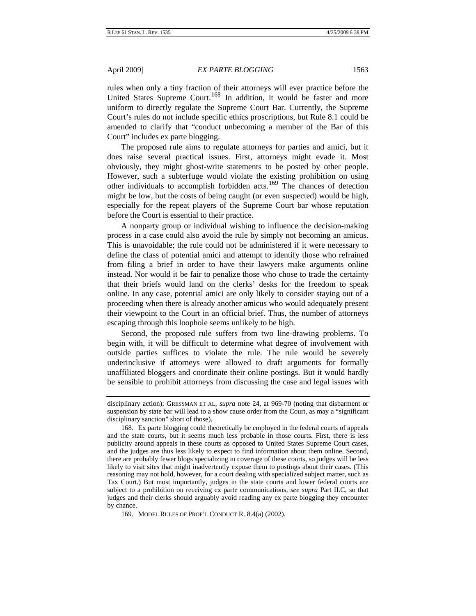rules when only a tiny fraction of their attorneys will ever practice before the United States Supreme Court.<sup>[168](#page-29-0)</sup> In addition, it would be faster and more uniform to directly regulate the Supreme Court Bar. Currently, the Supreme Court's rules do not include specific ethics proscriptions, but Rule 8.1 could be amended to clarify that "conduct unbecoming a member of the Bar of this Court" includes ex parte blogging.

The proposed rule aims to regulate attorneys for parties and amici, but it does raise several practical issues. First, attorneys might evade it. Most obviously, they might ghost-write statements to be posted by other people. However, such a subterfuge would violate the existing prohibition on using other individuals to accomplish forbidden acts.[169](#page-29-1) The chances of detection might be low, but the costs of being caught (or even suspected) would be high, especially for the repeat players of the Supreme Court bar whose reputation before the Court is essential to their practice.

A nonparty group or individual wishing to influence the decision-making process in a case could also avoid the rule by simply not becoming an amicus. This is unavoidable; the rule could not be administered if it were necessary to define the class of potential amici and attempt to identify those who refrained from filing a brief in order to have their lawyers make arguments online instead. Nor would it be fair to penalize those who chose to trade the certainty that their briefs would land on the clerks' desks for the freedom to speak online. In any case, potential amici are only likely to consider staying out of a proceeding when there is already another amicus who would adequately present their viewpoint to the Court in an official brief. Thus, the number of attorneys escaping through this loophole seems unlikely to be high.

Second, the proposed rule suffers from two line-drawing problems. To begin with, it will be difficult to determine what degree of involvement with outside parties suffices to violate the rule. The rule would be severely underinclusive if attorneys were allowed to draft arguments for formally unaffiliated bloggers and coordinate their online postings. But it would hardly be sensible to prohibit attorneys from discussing the case and legal issues with

<span id="page-29-1"></span>169. MODEL RULES OF PROF'L CONDUCT R. 8.4(a) (2002).

disciplinary action); GRESSMAN ET AL, *supra* note 24, at 969-70 (noting that disbarment or suspension by state bar will lead to a show cause order from the Court, as may a "significant disciplinary sanction" short of those).

<span id="page-29-0"></span><sup>168.</sup> Ex parte blogging could theoretically be employed in the federal courts of appeals and the state courts, but it seems much less probable in those courts. First, there is less publicity around appeals in these courts as opposed to United States Supreme Court cases, and the judges are thus less likely to expect to find information about them online. Second, there are probably fewer blogs specializing in coverage of these courts, so judges will be less likely to visit sites that might inadvertently expose them to postings about their cases. (This reasoning may not hold, however, for a court dealing with specialized subject matter, such as Tax Court.) But most importantly, judges in the state courts and lower federal courts are subject to a prohibition on receiving ex parte communications, *see supra* Part II.C, so that judges and their clerks should arguably avoid reading any ex parte blogging they encounter by chance.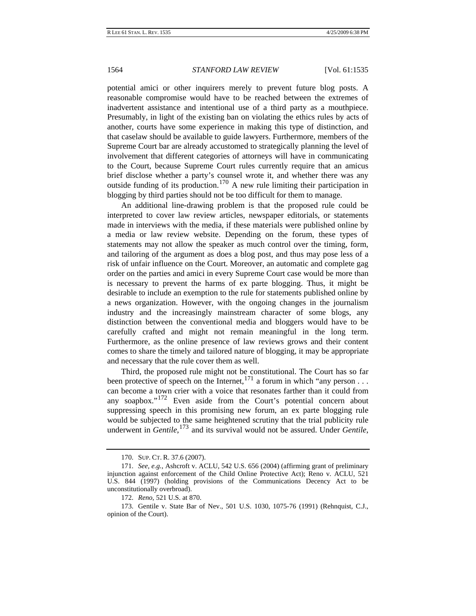potential amici or other inquirers merely to prevent future blog posts. A reasonable compromise would have to be reached between the extremes of inadvertent assistance and intentional use of a third party as a mouthpiece. Presumably, in light of the existing ban on violating the ethics rules by acts of another, courts have some experience in making this type of distinction, and that caselaw should be available to guide lawyers. Furthermore, members of the Supreme Court bar are already accustomed to strategically planning the level of involvement that different categories of attorneys will have in communicating to the Court, because Supreme Court rules currently require that an amicus brief disclose whether a party's counsel wrote it, and whether there was any outside funding of its production.<sup>[170](#page-30-0)</sup> A new rule limiting their participation in blogging by third parties should not be too difficult for them to manage.

An additional line-drawing problem is that the proposed rule could be interpreted to cover law review articles, newspaper editorials, or statements made in interviews with the media, if these materials were published online by a media or law review website. Depending on the forum, these types of statements may not allow the speaker as much control over the timing, form, and tailoring of the argument as does a blog post, and thus may pose less of a risk of unfair influence on the Court. Moreover, an automatic and complete gag order on the parties and amici in every Supreme Court case would be more than is necessary to prevent the harms of ex parte blogging. Thus, it might be desirable to include an exemption to the rule for statements published online by a news organization. However, with the ongoing changes in the journalism industry and the increasingly mainstream character of some blogs, any distinction between the conventional media and bloggers would have to be carefully crafted and might not remain meaningful in the long term. Furthermore, as the online presence of law reviews grows and their content comes to share the timely and tailored nature of blogging, it may be appropriate and necessary that the rule cover them as well.

Third, the proposed rule might not be constitutional. The Court has so far been protective of speech on the Internet,  $^{171}$  $^{171}$  $^{171}$  a forum in which "any person ... can become a town crier with a voice that resonates farther than it could from any soapbox."[172](#page-30-2) Even aside from the Court's potential concern about suppressing speech in this promising new forum, an ex parte blogging rule would be subjected to the same heightened scrutiny that the trial publicity rule underwent in *Gentile*, [173](#page-30-3) and its survival would not be assured. Under *Gentile*,

<sup>170.</sup> SUP. CT. R. 37.6 (2007).

<span id="page-30-1"></span><span id="page-30-0"></span><sup>171.</sup> *See, e.g.*, Ashcroft v. ACLU, 542 U.S. 656 (2004) (affirming grant of preliminary injunction against enforcement of the Child Online Protective Act); Reno v. ACLU, 521 U.S. 844 (1997) (holding provisions of the Communications Decency Act to be unconstitutionally overbroad).

<sup>172.</sup> *Reno*, 521 U.S. at 870.

<span id="page-30-3"></span><span id="page-30-2"></span><sup>173.</sup> Gentile v. State Bar of Nev., 501 U.S. 1030, 1075-76 (1991) (Rehnquist, C.J., opinion of the Court).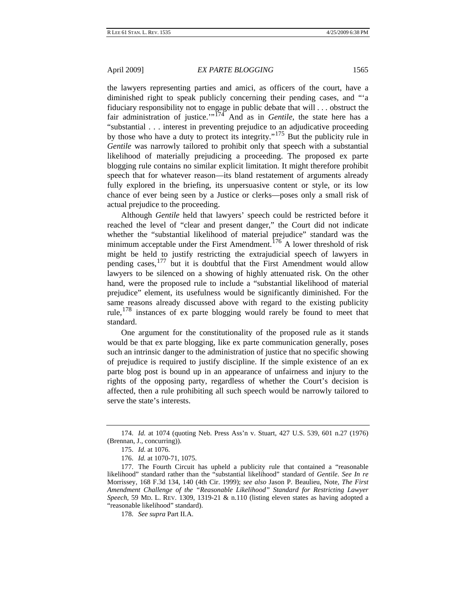the lawyers representing parties and amici, as officers of the court, have a diminished right to speak publicly concerning their pending cases, and "'a fiduciary responsibility not to engage in public debate that will . . . obstruct the fair administration of justice.'"<sup>[174](#page-31-0)</sup> And as in *Gentile*, the state here has a "substantial . . . interest in preventing prejudice to an adjudicative proceeding by those who have a duty to protect its integrity."[175](#page-31-1) But the publicity rule in *Gentile* was narrowly tailored to prohibit only that speech with a substantial likelihood of materially prejudicing a proceeding. The proposed ex parte blogging rule contains no similar explicit limitation. It might therefore prohibit speech that for whatever reason—its bland restatement of arguments already fully explored in the briefing, its unpersuasive content or style, or its low chance of ever being seen by a Justice or clerks—poses only a small risk of actual prejudice to the proceeding.

Although *Gentile* held that lawyers' speech could be restricted before it reached the level of "clear and present danger," the Court did not indicate whether the "substantial likelihood of material prejudice" standard was the minimum acceptable under the First Amendment.<sup>[176](#page-31-2)</sup> A lower threshold of risk might be held to justify restricting the extrajudicial speech of lawyers in pending cases,  $177$  but it is doubtful that the First Amendment would allow lawyers to be silenced on a showing of highly attenuated risk. On the other hand, were the proposed rule to include a "substantial likelihood of material prejudice" element, its usefulness would be significantly diminished. For the same reasons already discussed above with regard to the existing publicity rule,[178](#page-31-4) instances of ex parte blogging would rarely be found to meet that standard.

One argument for the constitutionality of the proposed rule as it stands would be that ex parte blogging, like ex parte communication generally, poses such an intrinsic danger to the administration of justice that no specific showing of prejudice is required to justify discipline. If the simple existence of an ex parte blog post is bound up in an appearance of unfairness and injury to the rights of the opposing party, regardless of whether the Court's decision is affected, then a rule prohibiting all such speech would be narrowly tailored to serve the state's interests.

178. *See supra* Part II.A.

<span id="page-31-0"></span><sup>174.</sup> *Id.* at 1074 (quoting Neb. Press Ass'n v. Stuart, 427 U.S. 539, 601 n.27 (1976) (Brennan, J., concurring)).

<sup>175.</sup> *Id.* at 1076.

<sup>176.</sup> *Id.* at 1070-71, 1075.

<span id="page-31-4"></span><span id="page-31-3"></span><span id="page-31-2"></span><span id="page-31-1"></span><sup>177.</sup> The Fourth Circuit has upheld a publicity rule that contained a "reasonable likelihood" standard rather than the "substantial likelihood" standard of *Gentile*. *See In re* Morrissey, 168 F.3d 134, 140 (4th Cir. 1999); *see also* Jason P. Beaulieu, Note, *The First Amendment Challenge of the "Reasonable Likelihood" Standard for Restricting Lawyer Speech*, 59 MD. L. REV. 1309, 1319-21 & n.110 (listing eleven states as having adopted a "reasonable likelihood" standard).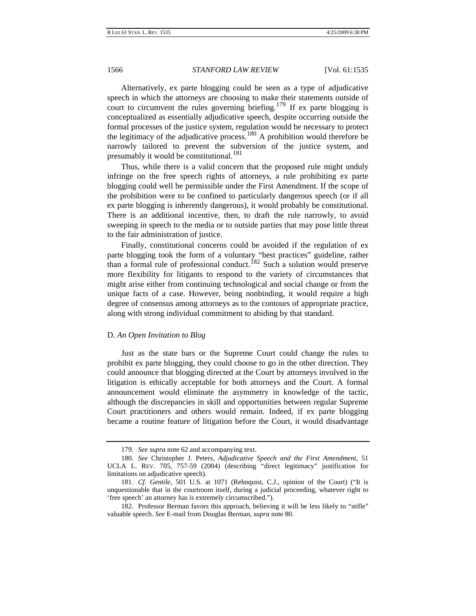<span id="page-32-0"></span>Alternatively, ex parte blogging could be seen as a type of adjudicative speech in which the attorneys are choosing to make their statements outside of court to circumvent the rules governing briefing.<sup>[179](#page-32-1)</sup> If ex parte blogging is conceptualized as essentially adjudicative speech, despite occurring outside the formal processes of the justice system, regulation would be necessary to protect the legitimacy of the adjudicative process.[180](#page-32-2) A prohibition would therefore be narrowly tailored to prevent the subversion of the justice system, and presumably it would be constitutional.<sup>[181](#page-32-3)</sup>

Thus, while there is a valid concern that the proposed rule might unduly infringe on the free speech rights of attorneys, a rule prohibiting ex parte blogging could well be permissible under the First Amendment. If the scope of the prohibition were to be confined to particularly dangerous speech (or if all ex parte blogging is inherently dangerous), it would probably be constitutional. There is an additional incentive, then, to draft the rule narrowly, to avoid sweeping in speech to the media or to outside parties that may pose little threat to the fair administration of justice.

Finally, constitutional concerns could be avoided if the regulation of ex parte blogging took the form of a voluntary "best practices" guideline, rather than a formal rule of professional conduct.<sup>[182](#page-32-4)</sup> Such a solution would preserve more flexibility for litigants to respond to the variety of circumstances that might arise either from continuing technological and social change or from the unique facts of a case. However, being nonbinding, it would require a high degree of consensus among attorneys as to the contours of appropriate practice, along with strong individual commitment to abiding by that standard.

#### D. *An Open Invitation to Blog*

Just as the state bars or the Supreme Court could change the rules to prohibit ex parte blogging, they could choose to go in the other direction. They could announce that blogging directed at the Court by attorneys involved in the litigation is ethically acceptable for both attorneys and the Court. A formal announcement would eliminate the asymmetry in knowledge of the tactic, although the discrepancies in skill and opportunities between regular Supreme Court practitioners and others would remain. Indeed, if ex parte blogging became a routine feature of litigation before the Court, it would disadvantage

<sup>179.</sup> *See supra* note 62 and accompanying text.

<span id="page-32-2"></span><span id="page-32-1"></span><sup>180.</sup> *See* Christopher J. Peters, *Adjudicative Speech and the First Amendment*, 51 UCLA L. REV. 705, 757-59 (2004) (describing "direct legitimacy" justification for limitations on adjudicative speech).

<span id="page-32-3"></span><sup>181.</sup> *Cf. Gentile*, 501 U.S. at 1071 (Rehnquist, C.J., opinion of the Court) ("It is unquestionable that in the courtroom itself, during a judicial proceeding, whatever right to 'free speech' an attorney has is extremely circumscribed.").

<span id="page-32-4"></span><sup>182.</sup> Professor Berman favors this approach, believing it will be less likely to "stifle" valuable speech. *See* E-mail from Douglas Berman, *supra* note 80.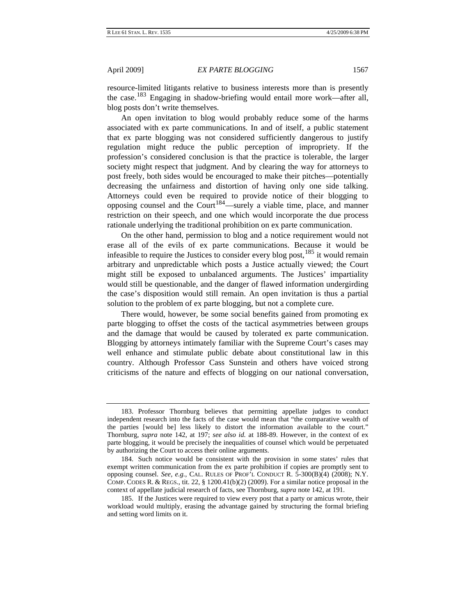resource-limited litigants relative to business interests more than is presently the case.[183](#page-33-0) Engaging in shadow-briefing would entail more work—after all, blog posts don't write themselves.

An open invitation to blog would probably reduce some of the harms associated with ex parte communications. In and of itself, a public statement that ex parte blogging was not considered sufficiently dangerous to justify regulation might reduce the public perception of impropriety. If the profession's considered conclusion is that the practice is tolerable, the larger society might respect that judgment. And by clearing the way for attorneys to post freely, both sides would be encouraged to make their pitches—potentially decreasing the unfairness and distortion of having only one side talking. Attorneys could even be required to provide notice of their blogging to opposing counsel and the Court<sup>[184](#page-33-1)</sup>—surely a viable time, place, and manner restriction on their speech, and one which would incorporate the due process rationale underlying the traditional prohibition on ex parte communication.

On the other hand, permission to blog and a notice requirement would not erase all of the evils of ex parte communications. Because it would be infeasible to require the Justices to consider every blog post,  $185$  it would remain arbitrary and unpredictable which posts a Justice actually viewed; the Court might still be exposed to unbalanced arguments. The Justices' impartiality would still be questionable, and the danger of flawed information undergirding the case's disposition would still remain. An open invitation is thus a partial solution to the problem of ex parte blogging, but not a complete cure.

There would, however, be some social benefits gained from promoting ex parte blogging to offset the costs of the tactical asymmetries between groups and the damage that would be caused by tolerated ex parte communication. Blogging by attorneys intimately familiar with the Supreme Court's cases may well enhance and stimulate public debate about constitutional law in this country. Although Professor Cass Sunstein and others have voiced strong criticisms of the nature and effects of blogging on our national conversation,

<span id="page-33-0"></span><sup>183.</sup> Professor Thornburg believes that permitting appellate judges to conduct independent research into the facts of the case would mean that "the comparative wealth of the parties [would be] less likely to distort the information available to the court." Thornburg, *supra* note 142, at 197; *see also id.* at 188-89. However, in the context of ex parte blogging, it would be precisely the inequalities of counsel which would be perpetuated by authorizing the Court to access their online arguments.

<span id="page-33-1"></span><sup>184.</sup> Such notice would be consistent with the provision in some states' rules that exempt written communication from the ex parte prohibition if copies are promptly sent to opposing counsel. *See, e.g.*, CAL. RULES OF PROF'L CONDUCT R. 5-300(B)(4) (2008); N.Y. COMP. CODES R. & REGS., tit. 22,  $\S$  1200.41(b)(2) (2009). For a similar notice proposal in the context of appellate judicial research of facts, see Thornburg, *supra* note 142, at 191.

<span id="page-33-2"></span><sup>185.</sup> If the Justices were required to view every post that a party or amicus wrote, their workload would multiply, erasing the advantage gained by structuring the formal briefing and setting word limits on it.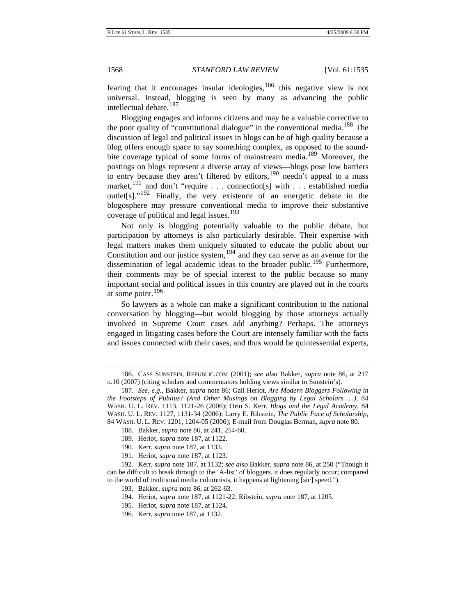fearing that it encourages insular ideologies,  $186$  this negative view is not universal. Instead, blogging is seen by many as advancing the public intellectual debate.<sup>[187](#page-34-1)</sup>

Blogging engages and informs citizens and may be a valuable corrective to the poor quality of "constitutional dialogue" in the conventional media.<sup>[188](#page-34-2)</sup> The discussion of legal and political issues in blogs can be of high quality because a blog offers enough space to say something complex, as opposed to the sound-bite coverage typical of some forms of mainstream media.<sup>[189](#page-34-3)</sup> Moreover, the postings on blogs represent a diverse array of views—blogs pose low barriers to entry because they aren't filtered by editors,<sup>[190](#page-34-4)</sup> needn't appeal to a mass market,<sup>[191](#page-34-5)</sup> and don't "require . . . connection[s] with . . . established media outlet<sup>[s]</sup>."<sup>[192](#page-34-6)</sup> Finally, the very existence of an energetic debate in the blogosphere may pressure conventional media to improve their substantive coverage of political and legal issues.<sup>[193](#page-34-7)</sup>

Not only is blogging potentially valuable to the public debate, but participation by attorneys is also particularly desirable. Their expertise with legal matters makes them uniquely situated to educate the public about our Constitution and our justice system,  $194$  and they can serve as an avenue for the dissemination of legal academic ideas to the broader public.<sup>[195](#page-34-9)</sup> Furthermore, their comments may be of special interest to the public because so many important social and political issues in this country are played out in the courts at some point.<sup>[196](#page-34-10)</sup>

So lawyers as a whole can make a significant contribution to the national conversation by blogging—but would blogging by those attorneys actually involved in Supreme Court cases add anything? Perhaps. The attorneys engaged in litigating cases before the Court are intensely familiar with the facts and issues connected with their cases, and thus would be quintessential experts,

- 188. Bakker, *supra* note 86, at 241, 254-60.
- 189. Heriot, *supra* note 187, at 1122.
- 190. Kerr, *supra* note 187, at 1133.
- 191. Heriot, *supra* note 187, at 1123.

<span id="page-34-10"></span><span id="page-34-9"></span><span id="page-34-8"></span><span id="page-34-7"></span><span id="page-34-6"></span><span id="page-34-5"></span><span id="page-34-4"></span><span id="page-34-3"></span><span id="page-34-2"></span>192. Kerr, *supra* note 187, at 1132; *see also* Bakker, *supra* note 86, at 250 ("Though it can be difficult to break through to the 'A-list' of bloggers, it does regularly occur; compared to the world of traditional media columnists, it happens at lightening [sic] speed.").

- 193. Bakker, *supra* note 86, at 262-63.
- 194. Heriot, *supra* note 187, at 1121-22; Ribstein, *supra* note 187, at 1205.
- 195. Heriot, *supra* note 187, at 1124.
- 196. Kerr, *supra* note 187, at 1132.

<span id="page-34-0"></span><sup>186.</sup> CASS SUNSTEIN, REPUBLIC.COM (2001); *see also* Bakker, *supra* note 86, at 217 n.10 (2007) (citing scholars and commentators holding views similar to Sunstein's).

<span id="page-34-1"></span><sup>187.</sup> *See, e.g.*, Bakker, *supra* note 86; Gail Heriot, *Are Modern Bloggers Following in the Footsteps of Publius? (And Other Musings on Blogging by Legal Scholars . . .)*, 84 WASH. U. L. REV. 1113, 1121-26 (2006); Orin S. Kerr, *Blogs and the Legal Academy*, 84 WASH. U. L. REV. 1127, 1131-34 (2006); Larry E. Ribstein, *The Public Face of Scholarship*, 84 WASH. U. L. REV. 1201, 1204-05 (2006); E-mail from Douglas Berman, *supra* note 80.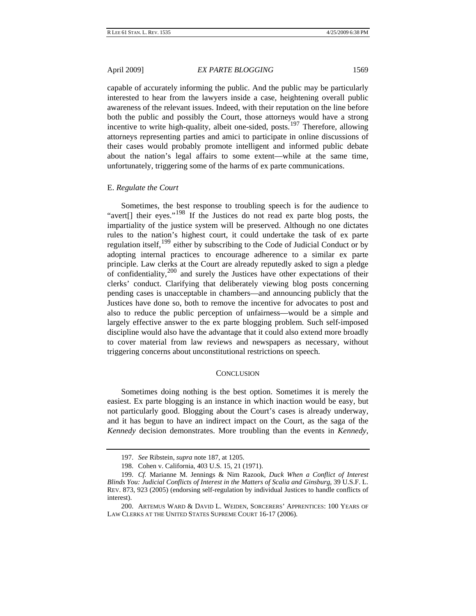<span id="page-35-0"></span>capable of accurately informing the public. And the public may be particularly interested to hear from the lawyers inside a case, heightening overall public awareness of the relevant issues. Indeed, with their reputation on the line before both the public and possibly the Court, those attorneys would have a strong incentive to write high-quality, albeit one-sided, posts.<sup>[197](#page-35-1)</sup> Therefore, allowing attorneys representing parties and amici to participate in online discussions of their cases would probably promote intelligent and informed public debate about the nation's legal affairs to some extent—while at the same time, unfortunately, triggering some of the harms of ex parte communications.

#### E. *Regulate the Court*

Sometimes, the best response to troubling speech is for the audience to "avert[] their eyes."<sup>[198](#page-35-2)</sup> If the Justices do not read ex parte blog posts, the impartiality of the justice system will be preserved. Although no one dictates rules to the nation's highest court, it could undertake the task of ex parte regulation itself,<sup>[199](#page-35-3)</sup> either by subscribing to the Code of Judicial Conduct or by adopting internal practices to encourage adherence to a similar ex parte principle. Law clerks at the Court are already reputedly asked to sign a pledge of confidentiality, $200$  and surely the Justices have other expectations of their clerks' conduct. Clarifying that deliberately viewing blog posts concerning pending cases is unacceptable in chambers—and announcing publicly that the Justices have done so, both to remove the incentive for advocates to post and also to reduce the public perception of unfairness—would be a simple and largely effective answer to the ex parte blogging problem. Such self-imposed discipline would also have the advantage that it could also extend more broadly to cover material from law reviews and newspapers as necessary, without triggering concerns about unconstitutional restrictions on speech.

#### **CONCLUSION**

Sometimes doing nothing is the best option. Sometimes it is merely the easiest. Ex parte blogging is an instance in which inaction would be easy, but not particularly good. Blogging about the Court's cases is already underway, and it has begun to have an indirect impact on the Court, as the saga of the *Kennedy* decision demonstrates. More troubling than the events in *Kennedy*,

<sup>197.</sup> *See* Ribstein, *supra* note 187, at 1205.

<sup>198.</sup> Cohen v. California, 403 U.S. 15, 21 (1971).

<span id="page-35-3"></span><span id="page-35-2"></span><span id="page-35-1"></span><sup>199.</sup> *Cf.* Marianne M. Jennings & Nim Razook, *Duck When a Conflict of Interest Blinds You: Judicial Conflicts of Interest in the Matters of Scalia and Ginsburg*, 39 U.S.F. L. REV. 873, 923 (2005) (endorsing self-regulation by individual Justices to handle conflicts of interest).

<span id="page-35-4"></span><sup>200.</sup> ARTEMUS WARD & DAVID L. WEIDEN, SORCERERS' APPRENTICES: 100 YEARS OF LAW CLERKS AT THE UNITED STATES SUPREME COURT 16-17 (2006).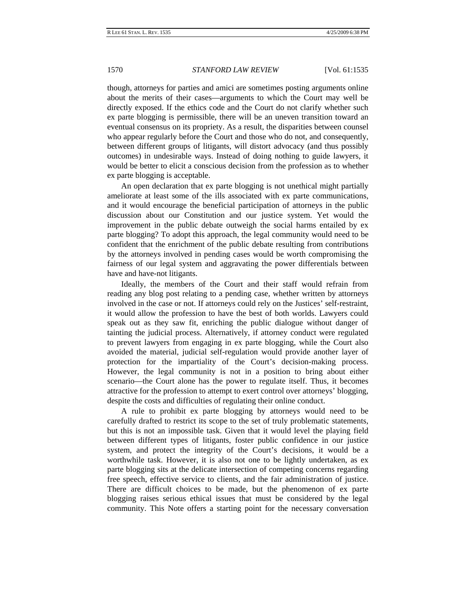though, attorneys for parties and amici are sometimes posting arguments online about the merits of their cases—arguments to which the Court may well be directly exposed. If the ethics code and the Court do not clarify whether such ex parte blogging is permissible, there will be an uneven transition toward an eventual consensus on its propriety. As a result, the disparities between counsel who appear regularly before the Court and those who do not, and consequently, between different groups of litigants, will distort advocacy (and thus possibly outcomes) in undesirable ways. Instead of doing nothing to guide lawyers, it would be better to elicit a conscious decision from the profession as to whether ex parte blogging is acceptable.

An open declaration that ex parte blogging is not unethical might partially ameliorate at least some of the ills associated with ex parte communications, and it would encourage the beneficial participation of attorneys in the public discussion about our Constitution and our justice system. Yet would the improvement in the public debate outweigh the social harms entailed by ex parte blogging? To adopt this approach, the legal community would need to be confident that the enrichment of the public debate resulting from contributions by the attorneys involved in pending cases would be worth compromising the fairness of our legal system and aggravating the power differentials between have and have-not litigants.

Ideally, the members of the Court and their staff would refrain from reading any blog post relating to a pending case, whether written by attorneys involved in the case or not. If attorneys could rely on the Justices' self-restraint, it would allow the profession to have the best of both worlds. Lawyers could speak out as they saw fit, enriching the public dialogue without danger of tainting the judicial process. Alternatively, if attorney conduct were regulated to prevent lawyers from engaging in ex parte blogging, while the Court also avoided the material, judicial self-regulation would provide another layer of protection for the impartiality of the Court's decision-making process. However, the legal community is not in a position to bring about either scenario—the Court alone has the power to regulate itself. Thus, it becomes attractive for the profession to attempt to exert control over attorneys' blogging, despite the costs and difficulties of regulating their online conduct.

A rule to prohibit ex parte blogging by attorneys would need to be carefully drafted to restrict its scope to the set of truly problematic statements, but this is not an impossible task. Given that it would level the playing field between different types of litigants, foster public confidence in our justice system, and protect the integrity of the Court's decisions, it would be a worthwhile task. However, it is also not one to be lightly undertaken, as ex parte blogging sits at the delicate intersection of competing concerns regarding free speech, effective service to clients, and the fair administration of justice. There are difficult choices to be made, but the phenomenon of ex parte blogging raises serious ethical issues that must be considered by the legal community. This Note offers a starting point for the necessary conversation